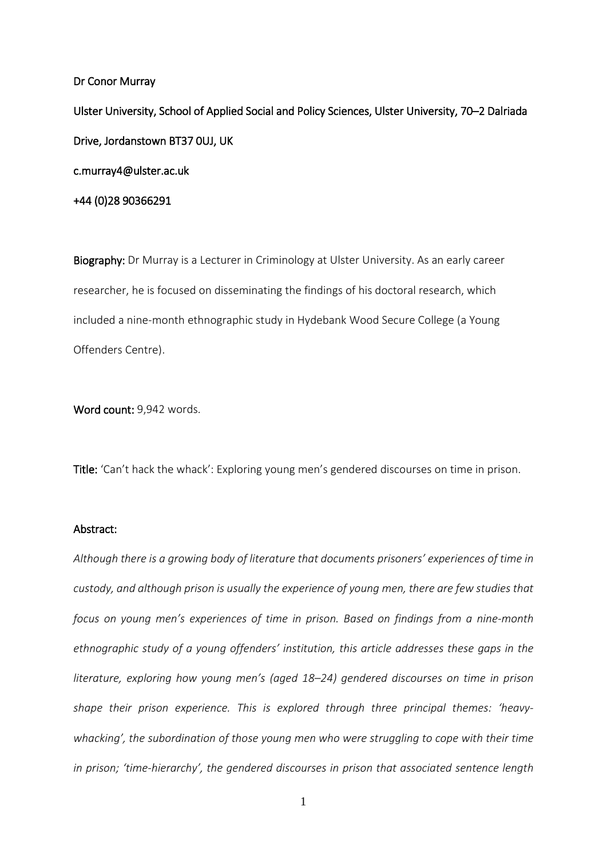### Dr Conor Murray

Ulster University, School of Applied Social and Policy Sciences, Ulster University, 70–2 Dalriada Drive, Jordanstown BT37 0UJ, UK c.murray4@ulster.ac.uk +44 (0)28 90366291

Biography: Dr Murray is a Lecturer in Criminology at Ulster University. As an early career researcher, he is focused on disseminating the findings of his doctoral research, which included a nine-month ethnographic study in Hydebank Wood Secure College (a Young Offenders Centre).

Word count: 9,942 words.

Title: 'Can't hack the whack': Exploring young men's gendered discourses on time in prison.

## Abstract:

*Although there is a growing body of literature that documents prisoners' experiences of time in custody, and although prison is usually the experience of young men, there are few studies that focus on young men's experiences of time in prison. Based on findings from a nine-month ethnographic study of a young offenders' institution, this article addresses these gaps in the literature, exploring how young men's (aged 18–24) gendered discourses on time in prison shape their prison experience. This is explored through three principal themes: 'heavywhacking', the subordination of those young men who were struggling to cope with their time in prison; 'time-hierarchy', the gendered discourses in prison that associated sentence length*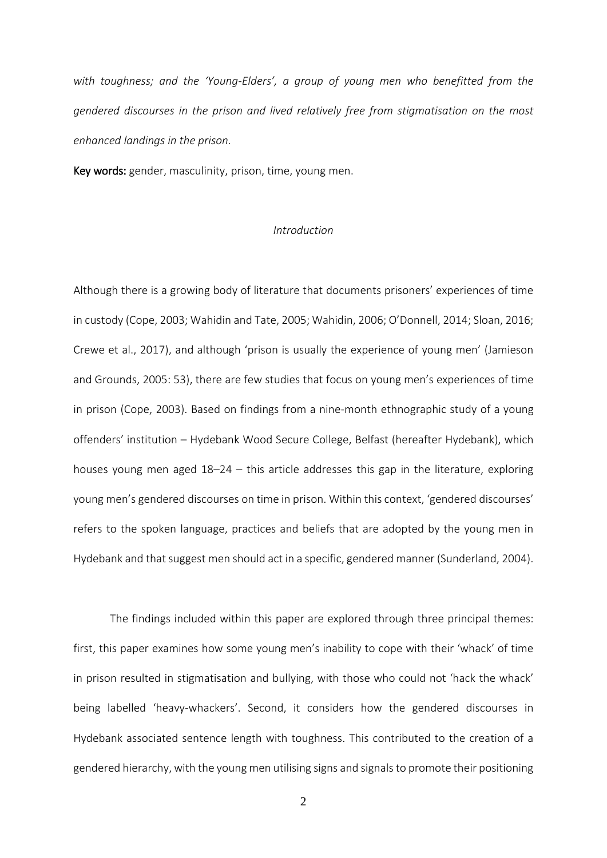*with toughness; and the 'Young-Elders', a group of young men who benefitted from the gendered discourses in the prison and lived relatively free from stigmatisation on the most enhanced landings in the prison.*

Key words: gender, masculinity, prison, time, young men.

## *Introduction*

Although there is a growing body of literature that documents prisoners' experiences of time in custody (Cope, 2003; Wahidin and Tate, 2005; Wahidin, 2006; O'Donnell, 2014; Sloan, 2016; Crewe et al., 2017), and although 'prison is usually the experience of young men' (Jamieson and Grounds, 2005: 53), there are few studies that focus on young men's experiences of time in prison (Cope, 2003). Based on findings from a nine-month ethnographic study of a young offenders' institution – Hydebank Wood Secure College, Belfast (hereafter Hydebank), which houses young men aged 18–24 – this article addresses this gap in the literature, exploring young men's gendered discourses on time in prison. Within this context, 'gendered discourses' refers to the spoken language, practices and beliefs that are adopted by the young men in Hydebank and that suggest men should act in a specific, gendered manner (Sunderland, 2004).

The findings included within this paper are explored through three principal themes: first, this paper examines how some young men's inability to cope with their 'whack' of time in prison resulted in stigmatisation and bullying, with those who could not 'hack the whack' being labelled 'heavy-whackers'. Second, it considers how the gendered discourses in Hydebank associated sentence length with toughness. This contributed to the creation of a gendered hierarchy, with the young men utilising signs and signalsto promote their positioning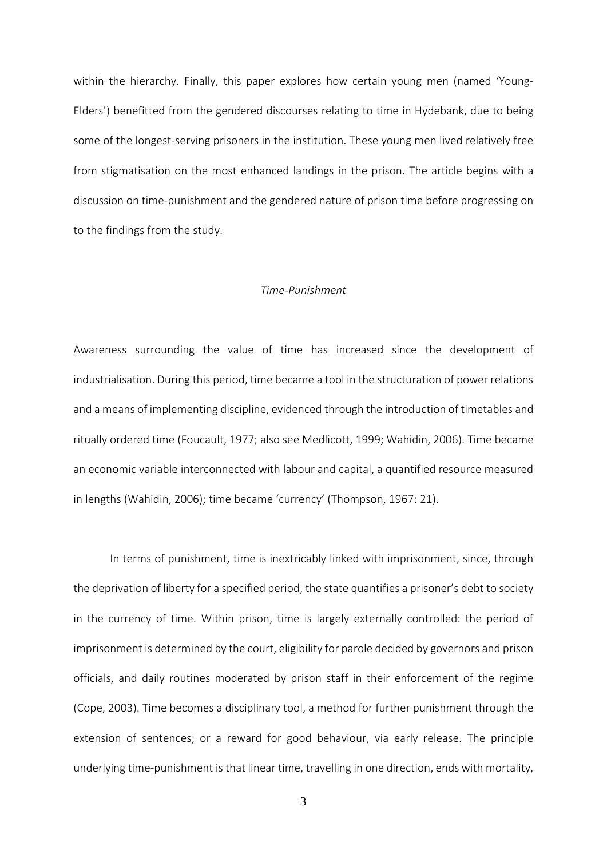within the hierarchy. Finally, this paper explores how certain young men (named 'Young-Elders') benefitted from the gendered discourses relating to time in Hydebank, due to being some of the longest-serving prisoners in the institution. These young men lived relatively free from stigmatisation on the most enhanced landings in the prison. The article begins with a discussion on time-punishment and the gendered nature of prison time before progressing on to the findings from the study.

## *Time-Punishment*

Awareness surrounding the value of time has increased since the development of industrialisation. During this period, time became a tool in the structuration of power relations and a means of implementing discipline, evidenced through the introduction of timetables and ritually ordered time (Foucault, 1977; also see Medlicott, 1999; Wahidin, 2006). Time became an economic variable interconnected with labour and capital, a quantified resource measured in lengths (Wahidin, 2006); time became 'currency' (Thompson, 1967: 21).

In terms of punishment, time is inextricably linked with imprisonment, since, through the deprivation of liberty for a specified period, the state quantifies a prisoner's debt to society in the currency of time. Within prison, time is largely externally controlled: the period of imprisonment is determined by the court, eligibility for parole decided by governors and prison officials, and daily routines moderated by prison staff in their enforcement of the regime (Cope, 2003). Time becomes a disciplinary tool, a method for further punishment through the extension of sentences; or a reward for good behaviour, via early release. The principle underlying time-punishment is that linear time, travelling in one direction, ends with mortality,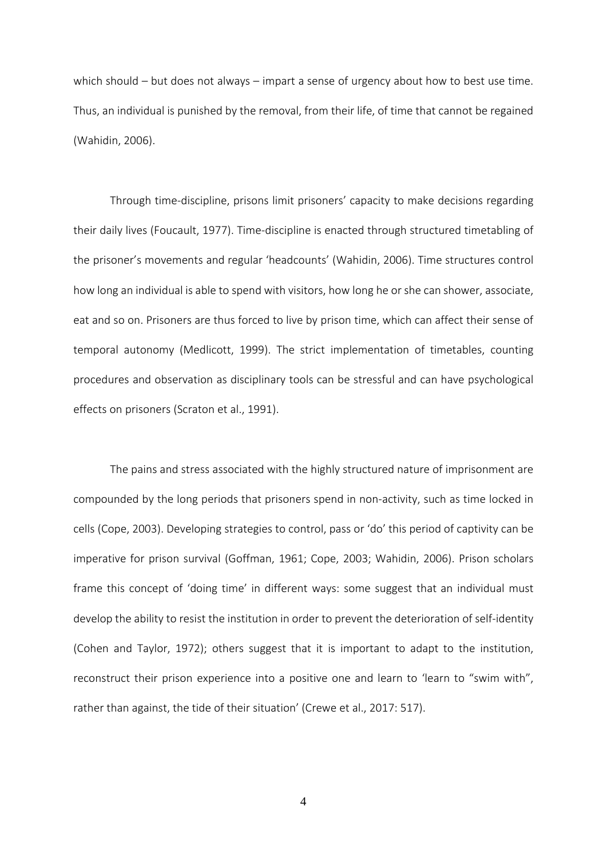which should – but does not always – impart a sense of urgency about how to best use time. Thus, an individual is punished by the removal, from their life, of time that cannot be regained (Wahidin, 2006).

Through time-discipline, prisons limit prisoners' capacity to make decisions regarding their daily lives (Foucault, 1977). Time-discipline is enacted through structured timetabling of the prisoner's movements and regular 'headcounts' (Wahidin, 2006). Time structures control how long an individual is able to spend with visitors, how long he or she can shower, associate, eat and so on. Prisoners are thus forced to live by prison time, which can affect their sense of temporal autonomy (Medlicott, 1999). The strict implementation of timetables, counting procedures and observation as disciplinary tools can be stressful and can have psychological effects on prisoners (Scraton et al., 1991).

The pains and stress associated with the highly structured nature of imprisonment are compounded by the long periods that prisoners spend in non-activity, such as time locked in cells (Cope, 2003). Developing strategies to control, pass or 'do' this period of captivity can be imperative for prison survival (Goffman, 1961; Cope, 2003; Wahidin, 2006). Prison scholars frame this concept of 'doing time' in different ways: some suggest that an individual must develop the ability to resist the institution in order to prevent the deterioration of self-identity (Cohen and Taylor, 1972); others suggest that it is important to adapt to the institution, reconstruct their prison experience into a positive one and learn to "learn to "swim with", rather than against, the tide of their situation' (Crewe et al., 2017: 517).

4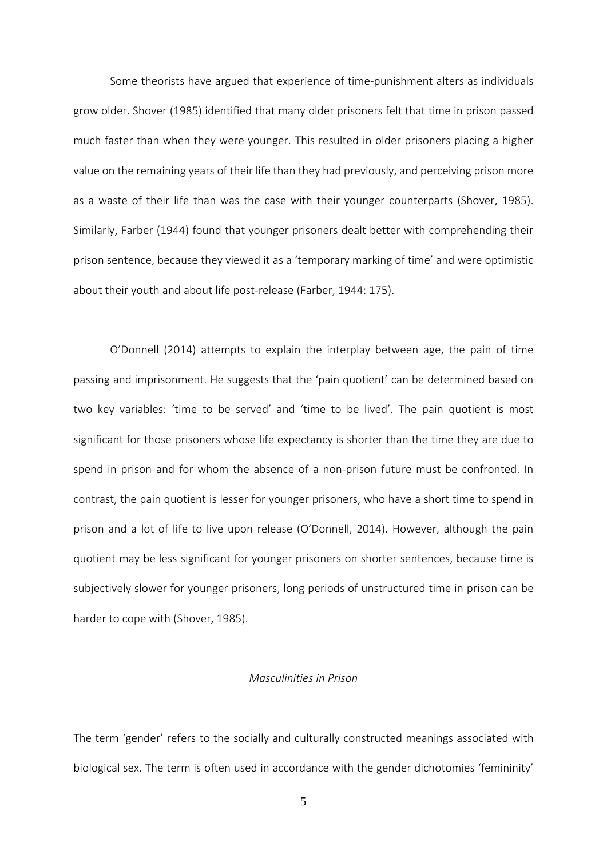Some theorists have argued that experience of time-punishment alters as individuals grow older. Shover (1985) identified that many older prisoners felt that time in prison passed much faster than when they were younger. This resulted in older prisoners placing a higher value on the remaining years of their life than they had previously, and perceiving prison more as a waste of their life than was the case with their younger counterparts (Shover, 1985). Similarly, Farber (1944) found that younger prisoners dealt better with comprehending their prison sentence, because they viewed it as a 'temporary marking of time' and were optimistic about their youth and about life post-release (Farber, 1944: 175).

O'Donnell (2014) attempts to explain the interplay between age, the pain of time passing and imprisonment. He suggests that the 'pain quotient' can be determined based on two key variables: 'time to be served' and 'time to be lived'. The pain quotient is most significant for those prisoners whose life expectancy is shorter than the time they are due to spend in prison and for whom the absence of a non-prison future must be confronted. In contrast, the pain quotient is lesser for younger prisoners, who have a short time to spend in prison and a lot of life to live upon release (O'Donnell, 2014). However, although the pain quotient may be less significant for younger prisoners on shorter sentences, because time is subjectively slower for younger prisoners, long periods of unstructured time in prison can be harder to cope with (Shover, 1985).

## *Masculinities in Prison*

The term 'gender' refers to the socially and culturally constructed meanings associated with biological sex. The term is often used in accordance with the gender dichotomies 'femininity'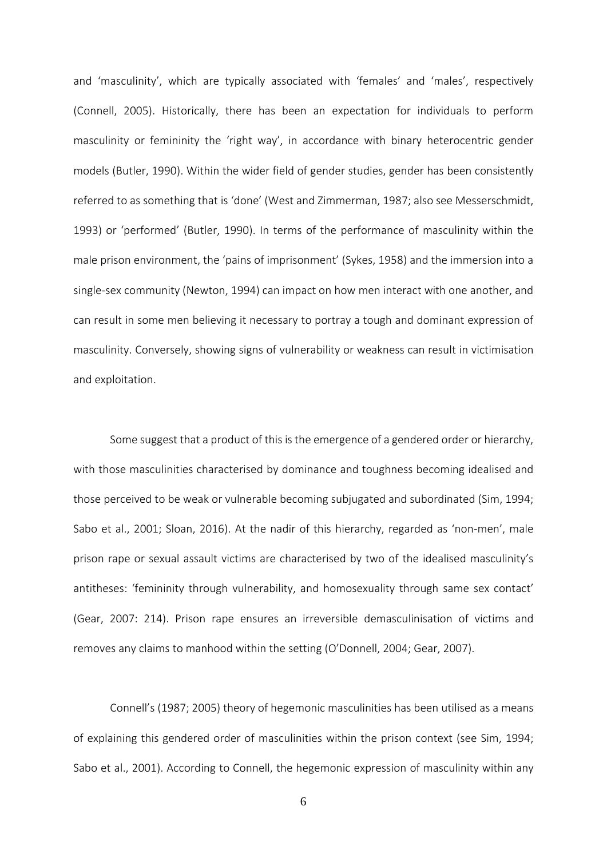and 'masculinity', which are typically associated with 'females' and 'males', respectively (Connell, 2005). Historically, there has been an expectation for individuals to perform masculinity or femininity the 'right way', in accordance with binary heterocentric gender models (Butler, 1990). Within the wider field of gender studies, gender has been consistently referred to as something that is 'done' (West and Zimmerman, 1987; also see Messerschmidt, 1993) or 'performed' (Butler, 1990). In terms of the performance of masculinity within the male prison environment, the 'pains of imprisonment' (Sykes, 1958) and the immersion into a single-sex community (Newton, 1994) can impact on how men interact with one another, and can result in some men believing it necessary to portray a tough and dominant expression of masculinity. Conversely, showing signs of vulnerability or weakness can result in victimisation and exploitation.

Some suggest that a product of this is the emergence of a gendered order or hierarchy, with those masculinities characterised by dominance and toughness becoming idealised and those perceived to be weak or vulnerable becoming subjugated and subordinated (Sim, 1994; Sabo et al., 2001; Sloan, 2016). At the nadir of this hierarchy, regarded as 'non-men', male prison rape or sexual assault victims are characterised by two of the idealised masculinity's antitheses: 'femininity through vulnerability, and homosexuality through same sex contact' (Gear, 2007: 214). Prison rape ensures an irreversible demasculinisation of victims and removes any claims to manhood within the setting (O'Donnell, 2004; Gear, 2007).

Connell's (1987; 2005) theory of hegemonic masculinities has been utilised as a means of explaining this gendered order of masculinities within the prison context (see Sim, 1994; Sabo et al., 2001). According to Connell, the hegemonic expression of masculinity within any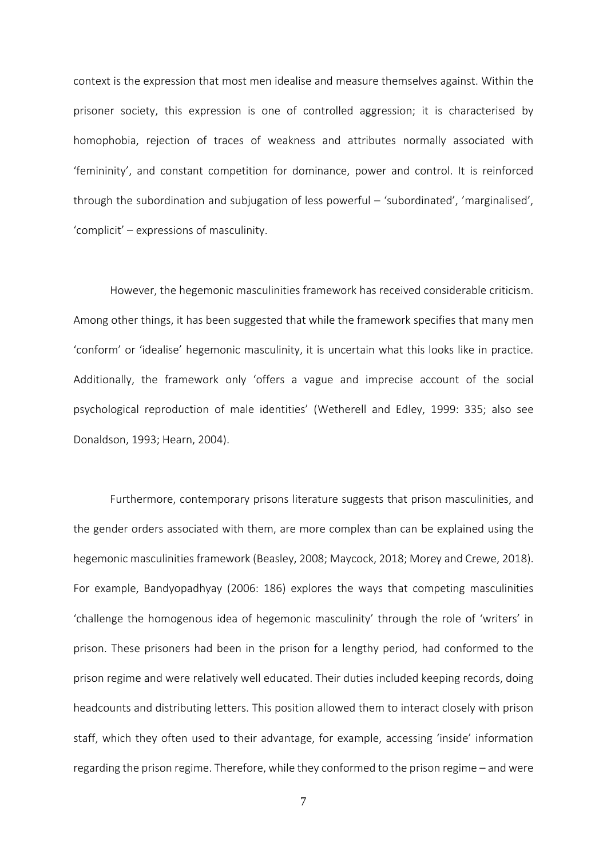context is the expression that most men idealise and measure themselves against. Within the prisoner society, this expression is one of controlled aggression; it is characterised by homophobia, rejection of traces of weakness and attributes normally associated with 'femininity', and constant competition for dominance, power and control. It is reinforced through the subordination and subjugation of less powerful – 'subordinated', 'marginalised', 'complicit' – expressions of masculinity.

However, the hegemonic masculinities framework has received considerable criticism. Among other things, it has been suggested that while the framework specifies that many men 'conform' or 'idealise' hegemonic masculinity, it is uncertain what this looks like in practice. Additionally, the framework only 'offers a vague and imprecise account of the social psychological reproduction of male identities' (Wetherell and Edley, 1999: 335; also see Donaldson, 1993; Hearn, 2004).

Furthermore, contemporary prisons literature suggests that prison masculinities, and the gender orders associated with them, are more complex than can be explained using the hegemonic masculinities framework (Beasley, 2008; Maycock, 2018; Morey and Crewe, 2018). For example, Bandyopadhyay (2006: 186) explores the ways that competing masculinities 'challenge the homogenous idea of hegemonic masculinity' through the role of 'writers' in prison. These prisoners had been in the prison for a lengthy period, had conformed to the prison regime and were relatively well educated. Their duties included keeping records, doing headcounts and distributing letters. This position allowed them to interact closely with prison staff, which they often used to their advantage, for example, accessing 'inside' information regarding the prison regime. Therefore, while they conformed to the prison regime – and were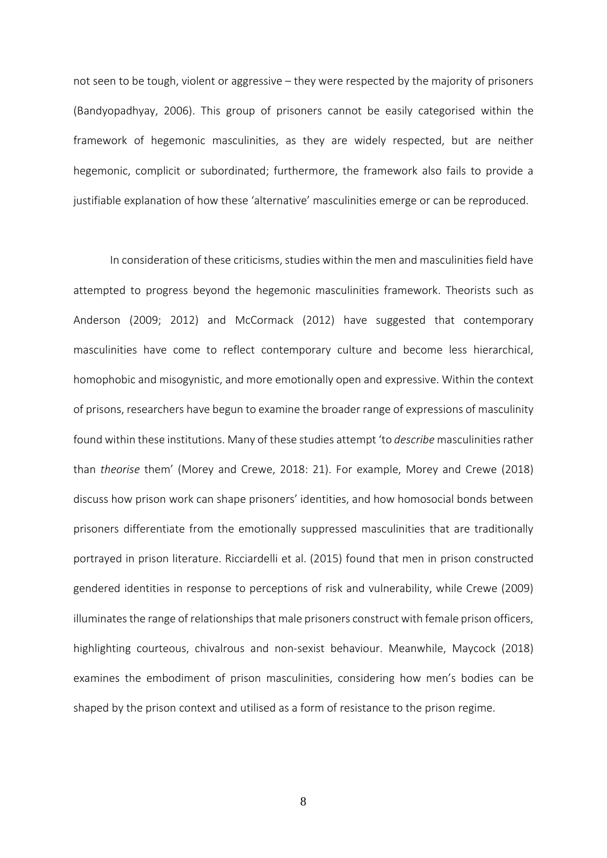not seen to be tough, violent or aggressive – they were respected by the majority of prisoners (Bandyopadhyay, 2006). This group of prisoners cannot be easily categorised within the framework of hegemonic masculinities, as they are widely respected, but are neither hegemonic, complicit or subordinated; furthermore, the framework also fails to provide a justifiable explanation of how these 'alternative' masculinities emerge or can be reproduced.

In consideration of these criticisms, studies within the men and masculinities field have attempted to progress beyond the hegemonic masculinities framework. Theorists such as Anderson (2009; 2012) and McCormack (2012) have suggested that contemporary masculinities have come to reflect contemporary culture and become less hierarchical, homophobic and misogynistic, and more emotionally open and expressive. Within the context of prisons, researchers have begun to examine the broader range of expressions of masculinity found within these institutions. Many of these studies attempt 'to *describe* masculinities rather than *theorise* them' (Morey and Crewe, 2018: 21). For example, Morey and Crewe (2018) discuss how prison work can shape prisoners' identities, and how homosocial bonds between prisoners differentiate from the emotionally suppressed masculinities that are traditionally portrayed in prison literature. Ricciardelli et al. (2015) found that men in prison constructed gendered identities in response to perceptions of risk and vulnerability, while Crewe (2009) illuminates the range of relationships that male prisoners construct with female prison officers, highlighting courteous, chivalrous and non-sexist behaviour. Meanwhile, Maycock (2018) examines the embodiment of prison masculinities, considering how men's bodies can be shaped by the prison context and utilised as a form of resistance to the prison regime.

8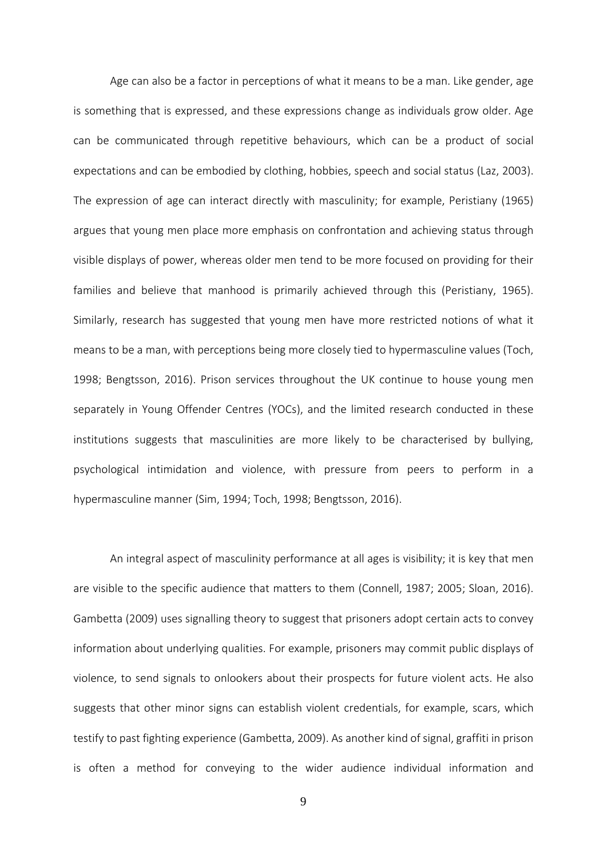Age can also be a factor in perceptions of what it means to be a man. Like gender, age is something that is expressed, and these expressions change as individuals grow older. Age can be communicated through repetitive behaviours, which can be a product of social expectations and can be embodied by clothing, hobbies, speech and social status (Laz, 2003). The expression of age can interact directly with masculinity; for example, Peristiany (1965) argues that young men place more emphasis on confrontation and achieving status through visible displays of power, whereas older men tend to be more focused on providing for their families and believe that manhood is primarily achieved through this (Peristiany, 1965). Similarly, research has suggested that young men have more restricted notions of what it means to be a man, with perceptions being more closely tied to hypermasculine values (Toch, 1998; Bengtsson, 2016). Prison services throughout the UK continue to house young men separately in Young Offender Centres (YOCs), and the limited research conducted in these institutions suggests that masculinities are more likely to be characterised by bullying, psychological intimidation and violence, with pressure from peers to perform in a hypermasculine manner (Sim, 1994; Toch, 1998; Bengtsson, 2016).

An integral aspect of masculinity performance at all ages is visibility; it is key that men are visible to the specific audience that matters to them (Connell, 1987; 2005; Sloan, 2016). Gambetta (2009) uses signalling theory to suggest that prisoners adopt certain acts to convey information about underlying qualities. For example, prisoners may commit public displays of violence, to send signals to onlookers about their prospects for future violent acts. He also suggests that other minor signs can establish violent credentials, for example, scars, which testify to past fighting experience (Gambetta, 2009). As another kind of signal, graffiti in prison is often a method for conveying to the wider audience individual information and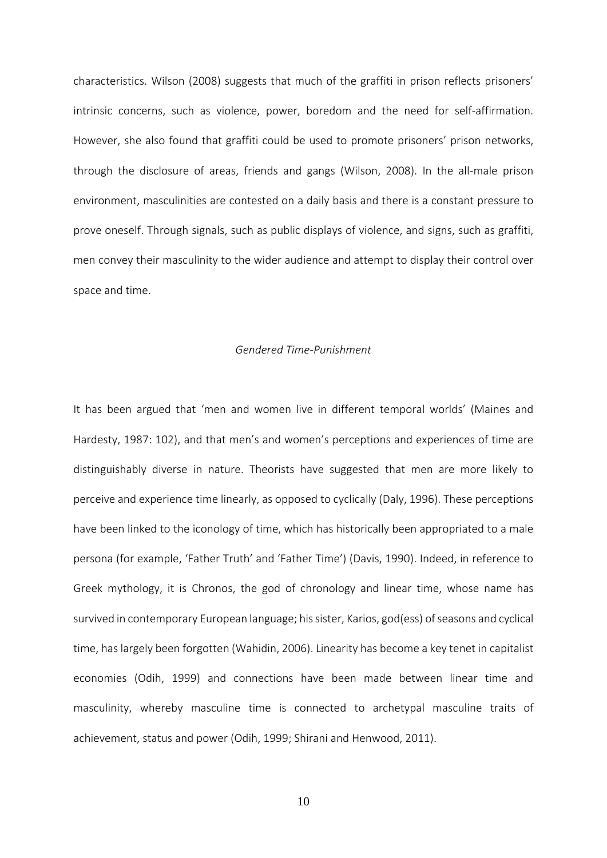characteristics. Wilson (2008) suggests that much of the graffiti in prison reflects prisoners' intrinsic concerns, such as violence, power, boredom and the need for self-affirmation. However, she also found that graffiti could be used to promote prisoners' prison networks, through the disclosure of areas, friends and gangs (Wilson, 2008). In the all-male prison environment, masculinities are contested on a daily basis and there is a constant pressure to prove oneself. Through signals, such as public displays of violence, and signs, such as graffiti, men convey their masculinity to the wider audience and attempt to display their control over space and time.

### *Gendered Time-Punishment*

It has been argued that 'men and women live in different temporal worlds' (Maines and Hardesty, 1987: 102), and that men's and women's perceptions and experiences of time are distinguishably diverse in nature. Theorists have suggested that men are more likely to perceive and experience time linearly, as opposed to cyclically (Daly, 1996). These perceptions have been linked to the iconology of time, which has historically been appropriated to a male persona (for example, 'Father Truth' and 'Father Time') (Davis, 1990). Indeed, in reference to Greek mythology, it is Chronos, the god of chronology and linear time, whose name has survived in contemporary European language; his sister, Karios, god(ess) of seasons and cyclical time, has largely been forgotten (Wahidin, 2006). Linearity has become a key tenet in capitalist economies (Odih, 1999) and connections have been made between linear time and masculinity, whereby masculine time is connected to archetypal masculine traits of achievement, status and power (Odih, 1999; Shirani and Henwood, 2011).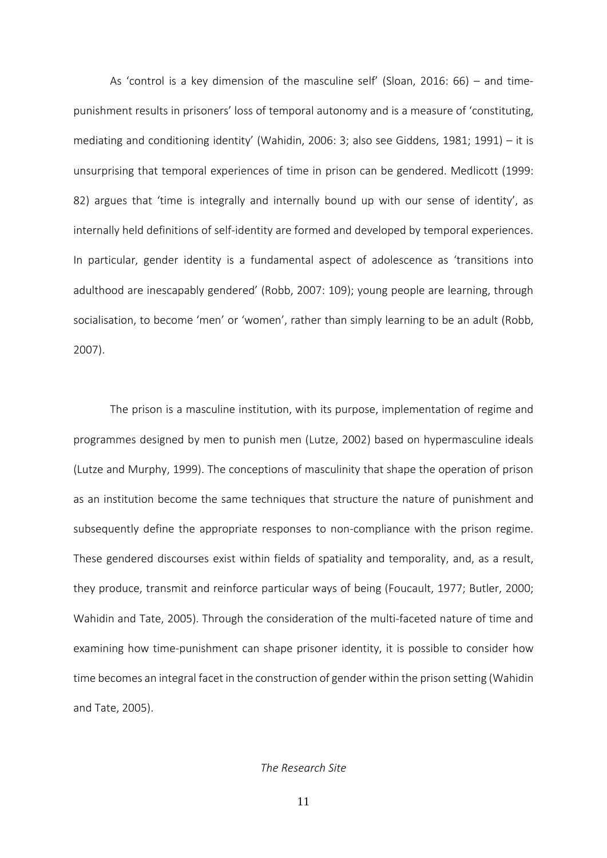As 'control is a key dimension of the masculine self' (Sloan, 2016: 66) – and timepunishment results in prisoners' loss of temporal autonomy and is a measure of 'constituting, mediating and conditioning identity' (Wahidin, 2006: 3; also see Giddens, 1981; 1991) – it is unsurprising that temporal experiences of time in prison can be gendered. Medlicott (1999: 82) argues that 'time is integrally and internally bound up with our sense of identity', as internally held definitions of self-identity are formed and developed by temporal experiences. In particular, gender identity is a fundamental aspect of adolescence as 'transitions into adulthood are inescapably gendered' (Robb, 2007: 109); young people are learning, through socialisation, to become 'men' or 'women', rather than simply learning to be an adult (Robb, 2007).

The prison is a masculine institution, with its purpose, implementation of regime and programmes designed by men to punish men (Lutze, 2002) based on hypermasculine ideals (Lutze and Murphy, 1999). The conceptions of masculinity that shape the operation of prison as an institution become the same techniques that structure the nature of punishment and subsequently define the appropriate responses to non-compliance with the prison regime. These gendered discourses exist within fields of spatiality and temporality, and, as a result, they produce, transmit and reinforce particular ways of being (Foucault, 1977; Butler, 2000; Wahidin and Tate, 2005). Through the consideration of the multi-faceted nature of time and examining how time-punishment can shape prisoner identity, it is possible to consider how time becomes an integral facet in the construction of gender within the prison setting (Wahidin and Tate, 2005).

# *The Research Site*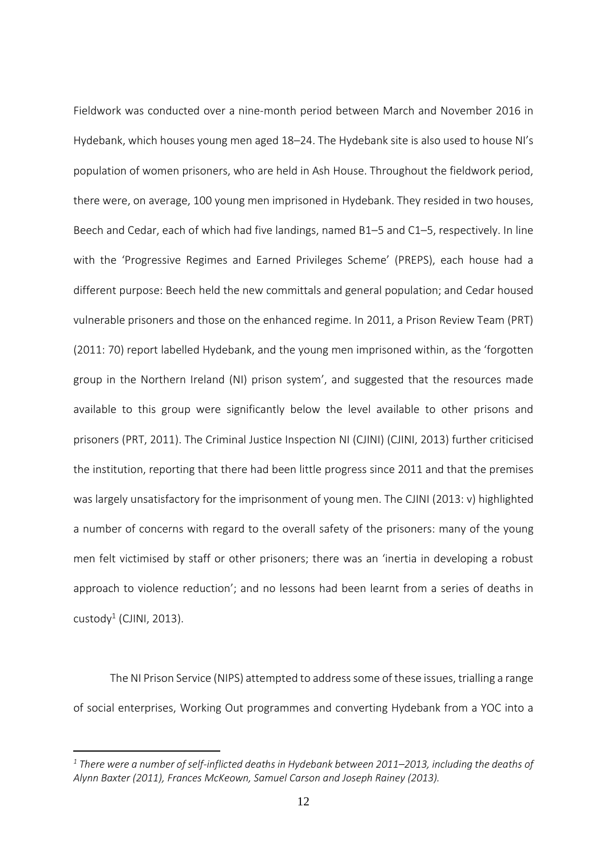Fieldwork was conducted over a nine-month period between March and November 2016 in Hydebank, which houses young men aged 18–24. The Hydebank site is also used to house NI's population of women prisoners, who are held in Ash House. Throughout the fieldwork period, there were, on average, 100 young men imprisoned in Hydebank. They resided in two houses, Beech and Cedar, each of which had five landings, named B1–5 and C1–5, respectively. In line with the 'Progressive Regimes and Earned Privileges Scheme' (PREPS), each house had a different purpose: Beech held the new committals and general population; and Cedar housed vulnerable prisoners and those on the enhanced regime. In 2011, a Prison Review Team (PRT) (2011: 70) report labelled Hydebank, and the young men imprisoned within, as the 'forgotten group in the Northern Ireland (NI) prison system', and suggested that the resources made available to this group were significantly below the level available to other prisons and prisoners (PRT, 2011). The Criminal Justice Inspection NI (CJINI) (CJINI, 2013) further criticised the institution, reporting that there had been little progress since 2011 and that the premises was largely unsatisfactory for the imprisonment of young men. The CJINI (2013: v) highlighted a number of concerns with regard to the overall safety of the prisoners: many of the young men felt victimised by staff or other prisoners; there was an 'inertia in developing a robust approach to violence reduction'; and no lessons had been learnt from a series of deaths in custody $<sup>1</sup>$  (CJINI, 2013).</sup>

The NI Prison Service (NIPS) attempted to address some of these issues, trialling a range of social enterprises, Working Out programmes and converting Hydebank from a YOC into a

-

*<sup>1</sup> There were a number of self-inflicted deaths in Hydebank between 2011–2013, including the deaths of Alynn Baxter (2011), Frances McKeown, Samuel Carson and Joseph Rainey (2013).*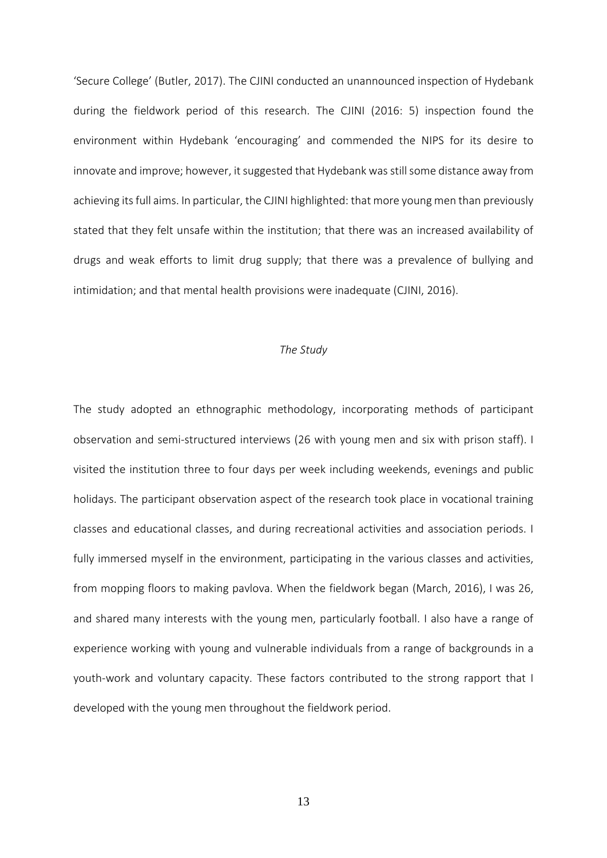'Secure College' (Butler, 2017). The CJINI conducted an unannounced inspection of Hydebank during the fieldwork period of this research. The CJINI (2016: 5) inspection found the environment within Hydebank 'encouraging' and commended the NIPS for its desire to innovate and improve; however, it suggested that Hydebank was still some distance away from achieving its full aims. In particular, the CJINI highlighted: that more young men than previously stated that they felt unsafe within the institution; that there was an increased availability of drugs and weak efforts to limit drug supply; that there was a prevalence of bullying and intimidation; and that mental health provisions were inadequate (CJINI, 2016).

## *The Study*

The study adopted an ethnographic methodology, incorporating methods of participant observation and semi-structured interviews (26 with young men and six with prison staff). I visited the institution three to four days per week including weekends, evenings and public holidays. The participant observation aspect of the research took place in vocational training classes and educational classes, and during recreational activities and association periods. I fully immersed myself in the environment, participating in the various classes and activities, from mopping floors to making pavlova. When the fieldwork began (March, 2016), I was 26, and shared many interests with the young men, particularly football. I also have a range of experience working with young and vulnerable individuals from a range of backgrounds in a youth-work and voluntary capacity. These factors contributed to the strong rapport that I developed with the young men throughout the fieldwork period.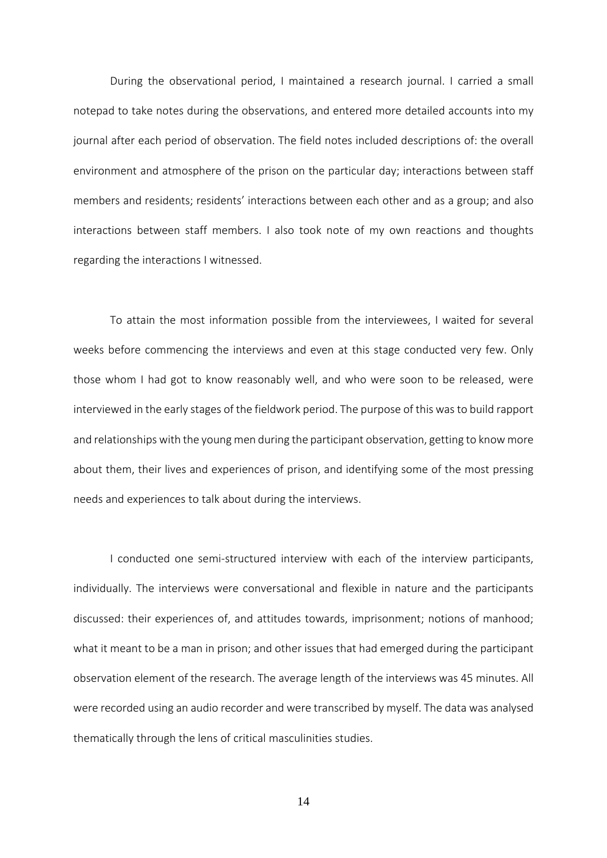During the observational period, I maintained a research journal. I carried a small notepad to take notes during the observations, and entered more detailed accounts into my journal after each period of observation. The field notes included descriptions of: the overall environment and atmosphere of the prison on the particular day; interactions between staff members and residents; residents' interactions between each other and as a group; and also interactions between staff members. I also took note of my own reactions and thoughts regarding the interactions I witnessed.

To attain the most information possible from the interviewees, I waited for several weeks before commencing the interviews and even at this stage conducted very few. Only those whom I had got to know reasonably well, and who were soon to be released, were interviewed in the early stages of the fieldwork period. The purpose of this was to build rapport and relationships with the young men during the participant observation, getting to know more about them, their lives and experiences of prison, and identifying some of the most pressing needs and experiences to talk about during the interviews.

I conducted one semi-structured interview with each of the interview participants, individually. The interviews were conversational and flexible in nature and the participants discussed: their experiences of, and attitudes towards, imprisonment; notions of manhood; what it meant to be a man in prison; and other issues that had emerged during the participant observation element of the research. The average length of the interviews was 45 minutes. All were recorded using an audio recorder and were transcribed by myself. The data was analysed thematically through the lens of critical masculinities studies.

14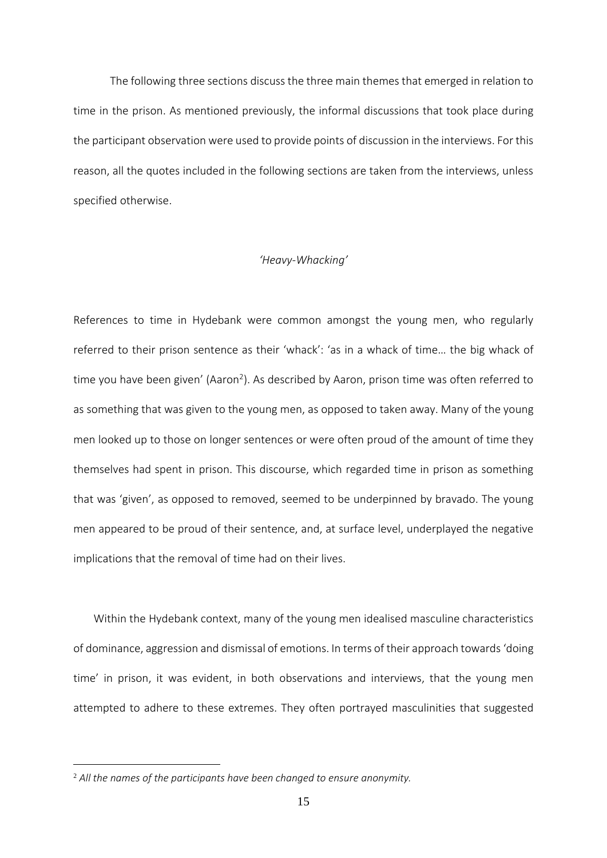The following three sections discuss the three main themes that emerged in relation to time in the prison. As mentioned previously, the informal discussions that took place during the participant observation were used to provide points of discussion in the interviews. For this reason, all the quotes included in the following sections are taken from the interviews, unless specified otherwise.

#### *'Heavy-Whacking'*

References to time in Hydebank were common amongst the young men, who regularly referred to their prison sentence as their 'whack': 'as in a whack of time… the big whack of time you have been given' (Aaron<sup>2</sup>). As described by Aaron, prison time was often referred to as something that was given to the young men, as opposed to taken away. Many of the young men looked up to those on longer sentences or were often proud of the amount of time they themselves had spent in prison. This discourse, which regarded time in prison as something that was 'given', as opposed to removed, seemed to be underpinned by bravado. The young men appeared to be proud of their sentence, and, at surface level, underplayed the negative implications that the removal of time had on their lives.

Within the Hydebank context, many of the young men idealised masculine characteristics of dominance, aggression and dismissal of emotions. In terms of their approach towards 'doing time' in prison, it was evident, in both observations and interviews, that the young men attempted to adhere to these extremes. They often portrayed masculinities that suggested

-

<sup>2</sup> *All the names of the participants have been changed to ensure anonymity.*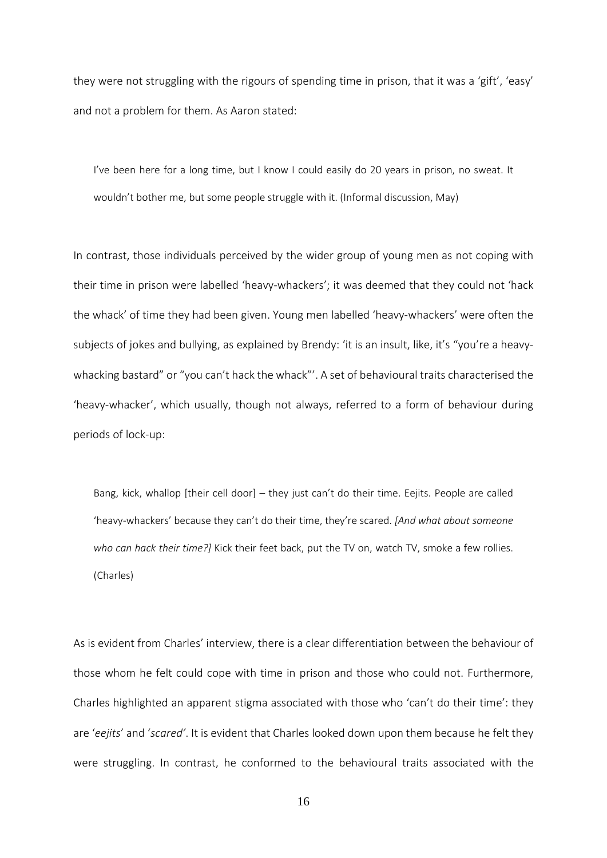they were not struggling with the rigours of spending time in prison, that it was a 'gift', 'easy' and not a problem for them. As Aaron stated:

I've been here for a long time, but I know I could easily do 20 years in prison, no sweat. It wouldn't bother me, but some people struggle with it. (Informal discussion, May)

In contrast, those individuals perceived by the wider group of young men as not coping with their time in prison were labelled 'heavy-whackers'; it was deemed that they could not 'hack the whack' of time they had been given. Young men labelled 'heavy-whackers' were often the subjects of jokes and bullying, as explained by Brendy: 'it is an insult, like, it's "you're a heavywhacking bastard" or "you can't hack the whack"'. A set of behavioural traits characterised the 'heavy-whacker', which usually, though not always, referred to a form of behaviour during periods of lock-up:

Bang, kick, whallop [their cell door] – they just can't do their time. Eejits. People are called 'heavy-whackers' because they can't do their time, they're scared. *[And what about someone who can hack their time?]* Kick their feet back, put the TV on, watch TV, smoke a few rollies. (Charles)

As is evident from Charles' interview, there is a clear differentiation between the behaviour of those whom he felt could cope with time in prison and those who could not. Furthermore, Charles highlighted an apparent stigma associated with those who 'can't do their time': they are '*eejits*' and '*scared'*. It is evident that Charles looked down upon them because he felt they were struggling. In contrast, he conformed to the behavioural traits associated with the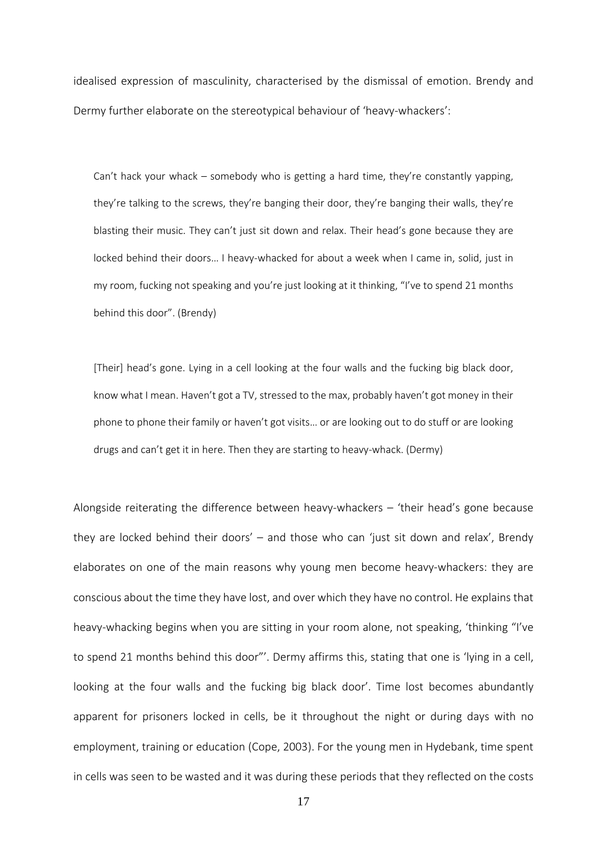idealised expression of masculinity, characterised by the dismissal of emotion. Brendy and Dermy further elaborate on the stereotypical behaviour of 'heavy-whackers':

Can't hack your whack – somebody who is getting a hard time, they're constantly yapping, they're talking to the screws, they're banging their door, they're banging their walls, they're blasting their music. They can't just sit down and relax. Their head's gone because they are locked behind their doors… I heavy-whacked for about a week when I came in, solid, just in my room, fucking not speaking and you're just looking at it thinking, "I've to spend 21 months behind this door". (Brendy)

[Their] head's gone. Lying in a cell looking at the four walls and the fucking big black door, know what I mean. Haven't got a TV, stressed to the max, probably haven't got money in their phone to phone their family or haven't got visits… or are looking out to do stuff or are looking drugs and can't get it in here. Then they are starting to heavy-whack. (Dermy)

Alongside reiterating the difference between heavy-whackers – 'their head's gone because they are locked behind their doors' – and those who can 'just sit down and relax', Brendy elaborates on one of the main reasons why young men become heavy-whackers: they are conscious about the time they have lost, and over which they have no control. He explains that heavy-whacking begins when you are sitting in your room alone, not speaking, 'thinking "I've to spend 21 months behind this door"'. Dermy affirms this, stating that one is 'lying in a cell, looking at the four walls and the fucking big black door'. Time lost becomes abundantly apparent for prisoners locked in cells, be it throughout the night or during days with no employment, training or education (Cope, 2003). For the young men in Hydebank, time spent in cells was seen to be wasted and it was during these periods that they reflected on the costs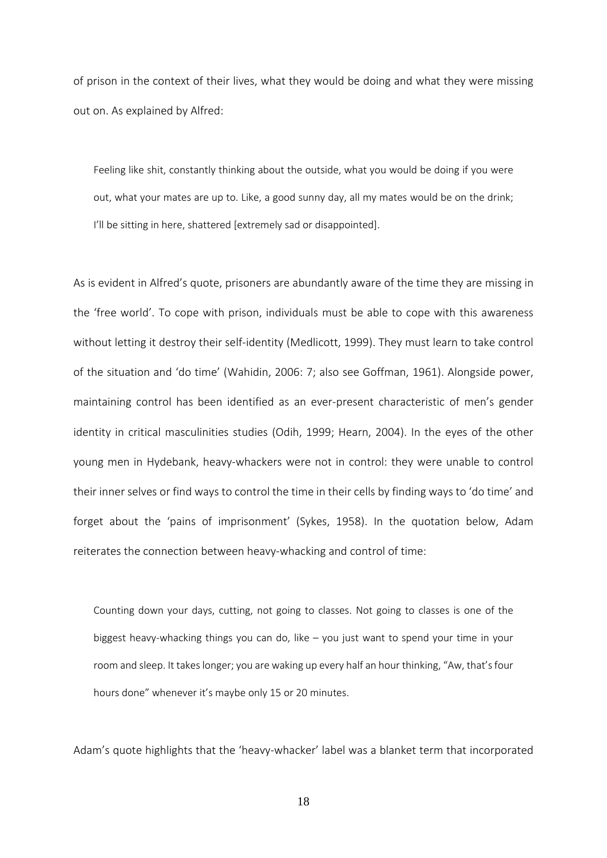of prison in the context of their lives, what they would be doing and what they were missing out on. As explained by Alfred:

Feeling like shit, constantly thinking about the outside, what you would be doing if you were out, what your mates are up to. Like, a good sunny day, all my mates would be on the drink; I'll be sitting in here, shattered [extremely sad or disappointed].

As is evident in Alfred's quote, prisoners are abundantly aware of the time they are missing in the 'free world'. To cope with prison, individuals must be able to cope with this awareness without letting it destroy their self-identity (Medlicott, 1999). They must learn to take control of the situation and 'do time' (Wahidin, 2006: 7; also see Goffman, 1961). Alongside power, maintaining control has been identified as an ever-present characteristic of men's gender identity in critical masculinities studies (Odih, 1999; Hearn, 2004). In the eyes of the other young men in Hydebank, heavy-whackers were not in control: they were unable to control their inner selves or find ways to control the time in their cells by finding ways to 'do time' and forget about the 'pains of imprisonment' (Sykes, 1958). In the quotation below, Adam reiterates the connection between heavy-whacking and control of time:

Counting down your days, cutting, not going to classes. Not going to classes is one of the biggest heavy-whacking things you can do, like – you just want to spend your time in your room and sleep. It takes longer; you are waking up every half an hour thinking, "Aw, that's four hours done" whenever it's maybe only 15 or 20 minutes.

Adam's quote highlights that the 'heavy-whacker' label was a blanket term that incorporated

18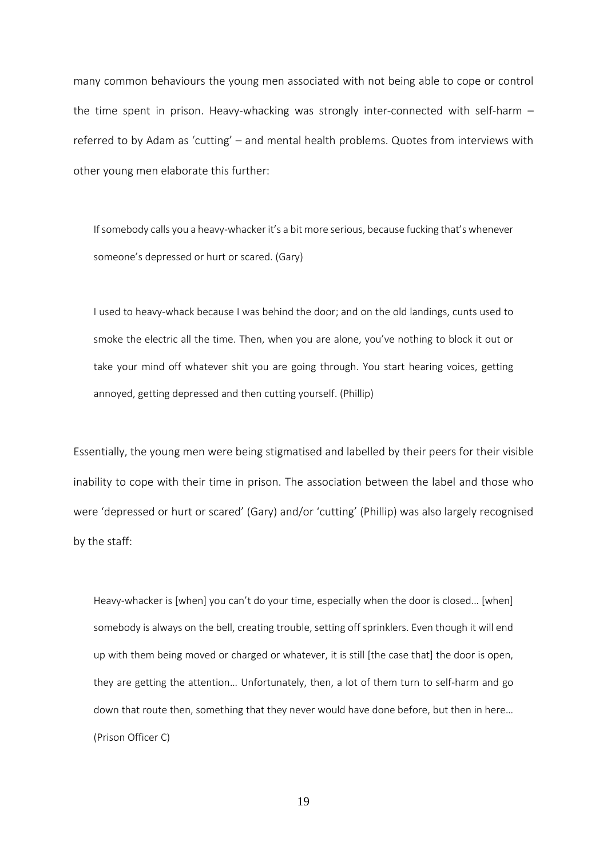many common behaviours the young men associated with not being able to cope or control the time spent in prison. Heavy-whacking was strongly inter-connected with self-harm – referred to by Adam as 'cutting' – and mental health problems. Quotes from interviews with other young men elaborate this further:

If somebody calls you a heavy-whacker it's a bit more serious, because fucking that's whenever someone's depressed or hurt or scared. (Gary)

I used to heavy-whack because I was behind the door; and on the old landings, cunts used to smoke the electric all the time. Then, when you are alone, you've nothing to block it out or take your mind off whatever shit you are going through. You start hearing voices, getting annoyed, getting depressed and then cutting yourself. (Phillip)

Essentially, the young men were being stigmatised and labelled by their peers for their visible inability to cope with their time in prison. The association between the label and those who were 'depressed or hurt or scared' (Gary) and/or 'cutting' (Phillip) was also largely recognised by the staff:

Heavy-whacker is [when] you can't do your time, especially when the door is closed… [when] somebody is always on the bell, creating trouble, setting off sprinklers. Even though it will end up with them being moved or charged or whatever, it is still [the case that] the door is open, they are getting the attention… Unfortunately, then, a lot of them turn to self-harm and go down that route then, something that they never would have done before, but then in here… (Prison Officer C)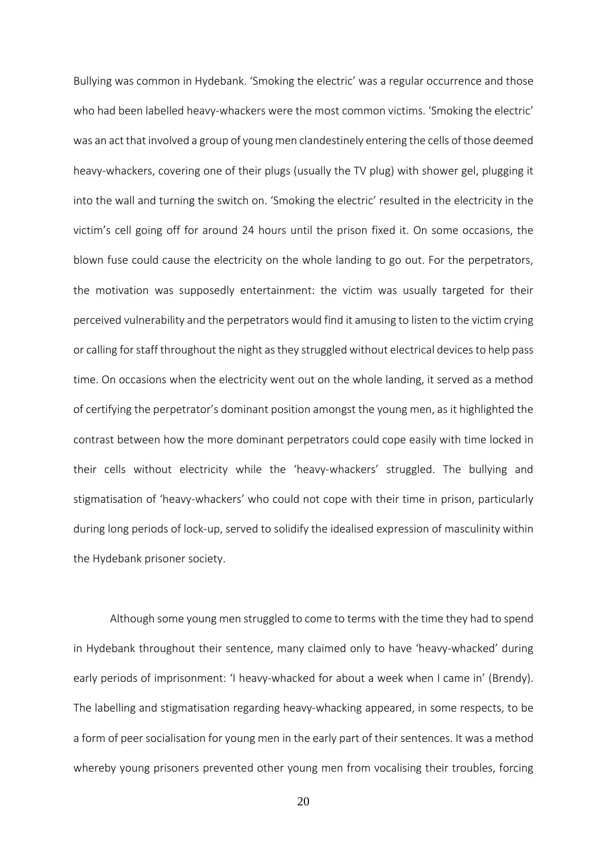Bullying was common in Hydebank. 'Smoking the electric' was a regular occurrence and those who had been labelled heavy-whackers were the most common victims. 'Smoking the electric' was an act that involved a group of young men clandestinely entering the cells of those deemed heavy-whackers, covering one of their plugs (usually the TV plug) with shower gel, plugging it into the wall and turning the switch on. 'Smoking the electric' resulted in the electricity in the victim's cell going off for around 24 hours until the prison fixed it. On some occasions, the blown fuse could cause the electricity on the whole landing to go out. For the perpetrators, the motivation was supposedly entertainment: the victim was usually targeted for their perceived vulnerability and the perpetrators would find it amusing to listen to the victim crying or calling for staff throughout the night as they struggled without electrical devices to help pass time. On occasions when the electricity went out on the whole landing, it served as a method of certifying the perpetrator's dominant position amongst the young men, as it highlighted the contrast between how the more dominant perpetrators could cope easily with time locked in their cells without electricity while the 'heavy-whackers' struggled. The bullying and stigmatisation of 'heavy-whackers' who could not cope with their time in prison, particularly during long periods of lock-up, served to solidify the idealised expression of masculinity within the Hydebank prisoner society.

Although some young men struggled to come to terms with the time they had to spend in Hydebank throughout their sentence, many claimed only to have 'heavy-whacked' during early periods of imprisonment: 'I heavy-whacked for about a week when I came in' (Brendy). The labelling and stigmatisation regarding heavy-whacking appeared, in some respects, to be a form of peer socialisation for young men in the early part of their sentences. It was a method whereby young prisoners prevented other young men from vocalising their troubles, forcing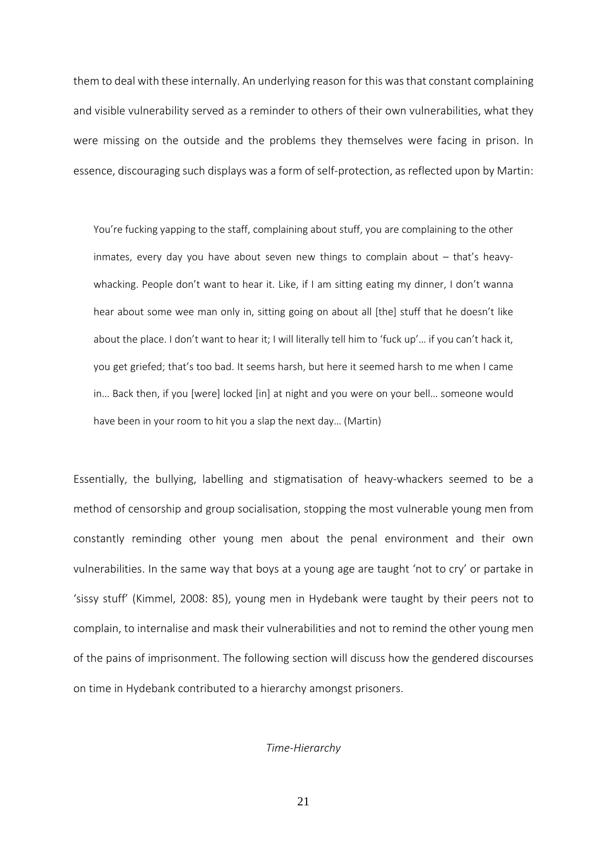them to deal with these internally. An underlying reason for this wasthat constant complaining and visible vulnerability served as a reminder to others of their own vulnerabilities, what they were missing on the outside and the problems they themselves were facing in prison. In essence, discouraging such displays was a form of self-protection, as reflected upon by Martin:

You're fucking yapping to the staff, complaining about stuff, you are complaining to the other inmates, every day you have about seven new things to complain about – that's heavywhacking. People don't want to hear it. Like, if I am sitting eating my dinner, I don't wanna hear about some wee man only in, sitting going on about all [the] stuff that he doesn't like about the place. I don't want to hear it; I will literally tell him to 'fuck up'… if you can't hack it, you get griefed; that's too bad. It seems harsh, but here it seemed harsh to me when I came in… Back then, if you [were] locked [in] at night and you were on your bell… someone would have been in your room to hit you a slap the next day… (Martin)

Essentially, the bullying, labelling and stigmatisation of heavy-whackers seemed to be a method of censorship and group socialisation, stopping the most vulnerable young men from constantly reminding other young men about the penal environment and their own vulnerabilities. In the same way that boys at a young age are taught 'not to cry' or partake in 'sissy stuff' (Kimmel, 2008: 85), young men in Hydebank were taught by their peers not to complain, to internalise and mask their vulnerabilities and not to remind the other young men of the pains of imprisonment. The following section will discuss how the gendered discourses on time in Hydebank contributed to a hierarchy amongst prisoners.

*Time-Hierarchy*

21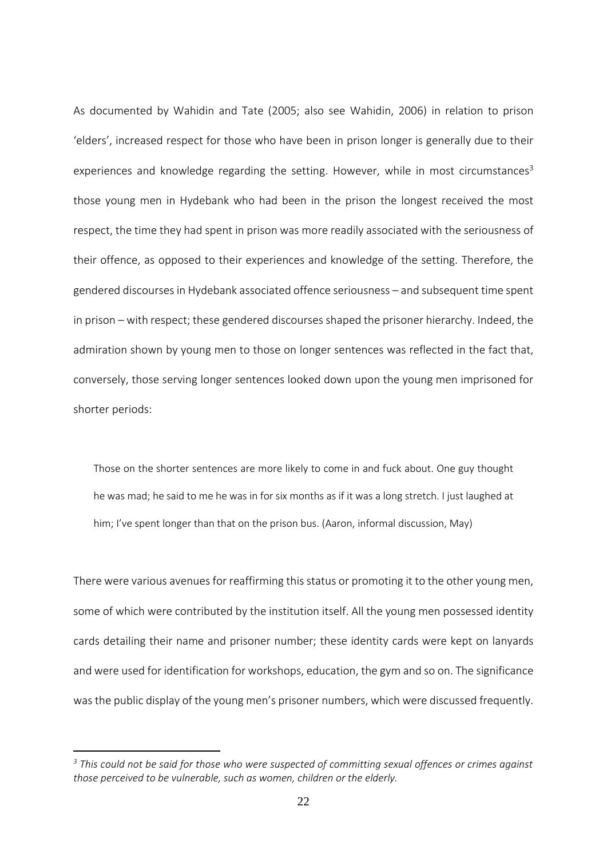As documented by Wahidin and Tate (2005; also see Wahidin, 2006) in relation to prison 'elders', increased respect for those who have been in prison longer is generally due to their experiences and knowledge regarding the setting. However, while in most circumstances<sup>3</sup> those young men in Hydebank who had been in the prison the longest received the most respect, the time they had spent in prison was more readily associated with the seriousness of their offence, as opposed to their experiences and knowledge of the setting. Therefore, the gendered discoursesin Hydebank associated offence seriousness – and subsequent time spent in prison – with respect; these gendered discourses shaped the prisoner hierarchy. Indeed, the admiration shown by young men to those on longer sentences was reflected in the fact that, conversely, those serving longer sentences looked down upon the young men imprisoned for shorter periods:

Those on the shorter sentences are more likely to come in and fuck about. One guy thought he was mad; he said to me he was in for six months as if it was a long stretch. I just laughed at him; I've spent longer than that on the prison bus. (Aaron, informal discussion, May)

There were various avenues for reaffirming this status or promoting it to the other young men, some of which were contributed by the institution itself. All the young men possessed identity cards detailing their name and prisoner number; these identity cards were kept on lanyards and were used for identification for workshops, education, the gym and so on. The significance was the public display of the young men's prisoner numbers, which were discussed frequently.

-

*<sup>3</sup> This could not be said for those who were suspected of committing sexual offences or crimes against those perceived to be vulnerable, such as women, children or the elderly.*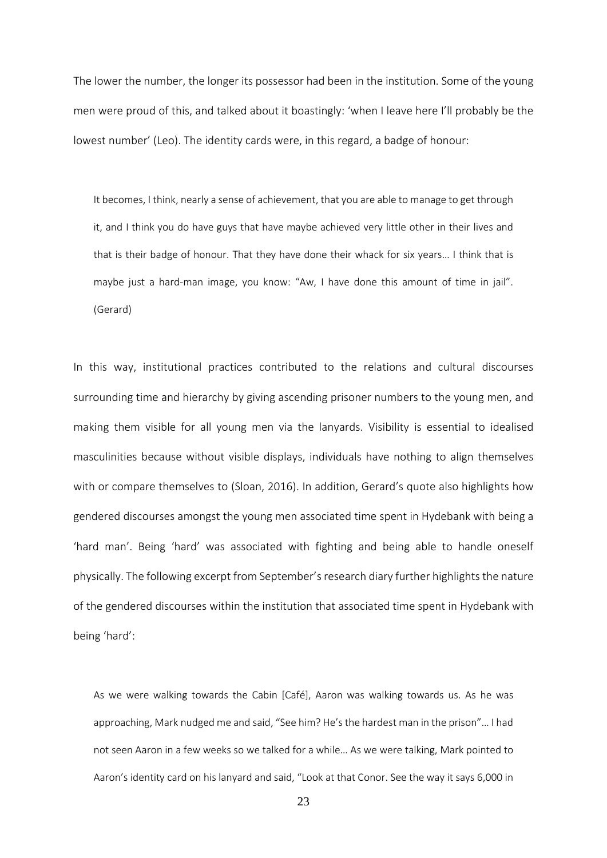The lower the number, the longer its possessor had been in the institution. Some of the young men were proud of this, and talked about it boastingly: 'when I leave here I'll probably be the lowest number' (Leo). The identity cards were, in this regard, a badge of honour:

It becomes, I think, nearly a sense of achievement, that you are able to manage to get through it, and I think you do have guys that have maybe achieved very little other in their lives and that is their badge of honour. That they have done their whack for six years… I think that is maybe just a hard-man image, you know: "Aw, I have done this amount of time in jail". (Gerard)

In this way, institutional practices contributed to the relations and cultural discourses surrounding time and hierarchy by giving ascending prisoner numbers to the young men, and making them visible for all young men via the lanyards. Visibility is essential to idealised masculinities because without visible displays, individuals have nothing to align themselves with or compare themselves to (Sloan, 2016). In addition, Gerard's quote also highlights how gendered discourses amongst the young men associated time spent in Hydebank with being a 'hard man'. Being 'hard' was associated with fighting and being able to handle oneself physically. The following excerpt from September's research diary further highlights the nature of the gendered discourses within the institution that associated time spent in Hydebank with being 'hard':

As we were walking towards the Cabin [Café], Aaron was walking towards us. As he was approaching, Mark nudged me and said, "See him? He's the hardest man in the prison"… I had not seen Aaron in a few weeks so we talked for a while… As we were talking, Mark pointed to Aaron's identity card on his lanyard and said, "Look at that Conor. See the way it says 6,000 in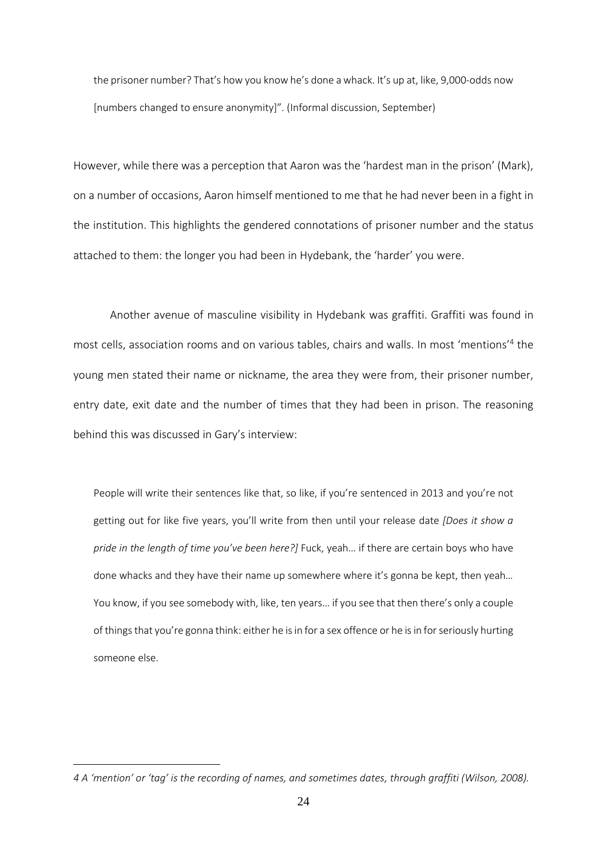the prisoner number? That's how you know he's done a whack. It's up at, like, 9,000-odds now [numbers changed to ensure anonymity]". (Informal discussion, September)

However, while there was a perception that Aaron was the 'hardest man in the prison' (Mark), on a number of occasions, Aaron himself mentioned to me that he had never been in a fight in the institution. This highlights the gendered connotations of prisoner number and the status attached to them: the longer you had been in Hydebank, the 'harder' you were.

Another avenue of masculine visibility in Hydebank was graffiti. Graffiti was found in most cells, association rooms and on various tables, chairs and walls. In most 'mentions'<sup>4</sup> the young men stated their name or nickname, the area they were from, their prisoner number, entry date, exit date and the number of times that they had been in prison. The reasoning behind this was discussed in Gary's interview:

People will write their sentences like that, so like, if you're sentenced in 2013 and you're not getting out for like five years, you'll write from then until your release date *[Does it show a pride in the length of time you've been here?]* Fuck, yeah… if there are certain boys who have done whacks and they have their name up somewhere where it's gonna be kept, then yeah*…* You know, if you see somebody with, like, ten years… if you see that then there's only a couple of things that you're gonna think: either he is in for a sex offence or he is in for seriously hurting someone else.

-

*<sup>4</sup> A 'mention' or 'tag' is the recording of names, and sometimes dates, through graffiti (Wilson, 2008).*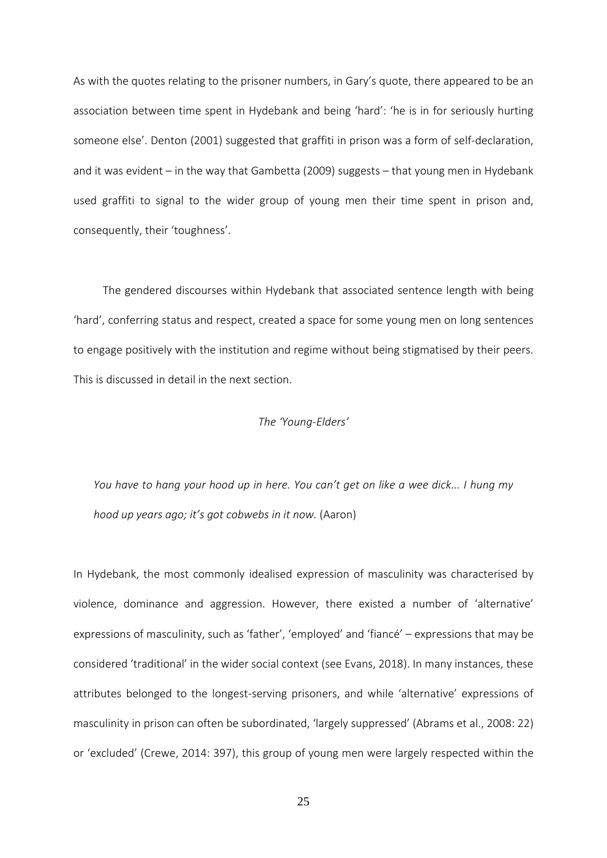As with the quotes relating to the prisoner numbers, in Gary's quote, there appeared to be an association between time spent in Hydebank and being 'hard': 'he is in for seriously hurting someone else'. Denton (2001) suggested that graffiti in prison was a form of self-declaration, and it was evident – in the way that Gambetta (2009) suggests – that young men in Hydebank used graffiti to signal to the wider group of young men their time spent in prison and, consequently, their 'toughness'.

The gendered discourses within Hydebank that associated sentence length with being 'hard', conferring status and respect, created a space for some young men on long sentences to engage positively with the institution and regime without being stigmatised by their peers. This is discussed in detail in the next section.

# *The 'Young-Elders'*

You have to hang your hood up in here. You can't get on like a wee dick... I hung my *hood up years ago; it's got cobwebs in it now.* (Aaron)

In Hydebank, the most commonly idealised expression of masculinity was characterised by violence, dominance and aggression. However, there existed a number of 'alternative' expressions of masculinity, such as 'father', 'employed' and 'fiancé' – expressions that may be considered 'traditional' in the wider social context (see Evans, 2018). In many instances, these attributes belonged to the longest-serving prisoners, and while 'alternative' expressions of masculinity in prison can often be subordinated, 'largely suppressed' (Abrams et al., 2008: 22) or 'excluded' (Crewe, 2014: 397), this group of young men were largely respected within the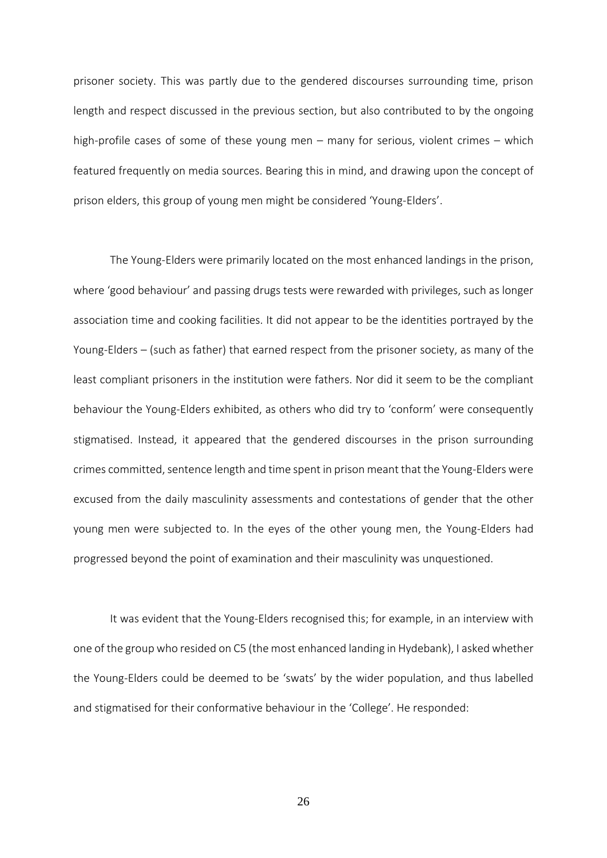prisoner society. This was partly due to the gendered discourses surrounding time, prison length and respect discussed in the previous section, but also contributed to by the ongoing high-profile cases of some of these young men – many for serious, violent crimes – which featured frequently on media sources. Bearing this in mind, and drawing upon the concept of prison elders, this group of young men might be considered 'Young-Elders'.

The Young-Elders were primarily located on the most enhanced landings in the prison, where 'good behaviour' and passing drugs tests were rewarded with privileges, such as longer association time and cooking facilities. It did not appear to be the identities portrayed by the Young-Elders – (such as father) that earned respect from the prisoner society, as many of the least compliant prisoners in the institution were fathers. Nor did it seem to be the compliant behaviour the Young-Elders exhibited, as others who did try to 'conform' were consequently stigmatised. Instead, it appeared that the gendered discourses in the prison surrounding crimes committed, sentence length and time spent in prison meant that the Young-Elders were excused from the daily masculinity assessments and contestations of gender that the other young men were subjected to. In the eyes of the other young men, the Young-Elders had progressed beyond the point of examination and their masculinity was unquestioned.

It was evident that the Young-Elders recognised this; for example, in an interview with one of the group who resided on C5 (the most enhanced landing in Hydebank), I asked whether the Young-Elders could be deemed to be 'swats' by the wider population, and thus labelled and stigmatised for their conformative behaviour in the 'College'. He responded:

26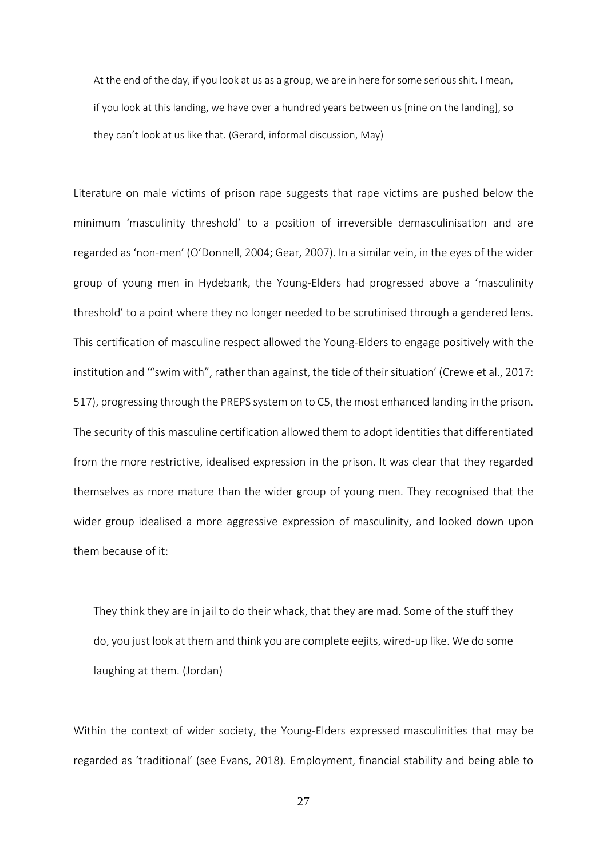At the end of the day, if you look at us as a group, we are in here for some serious shit. I mean, if you look at this landing, we have over a hundred years between us [nine on the landing], so they can't look at us like that. (Gerard, informal discussion, May)

Literature on male victims of prison rape suggests that rape victims are pushed below the minimum 'masculinity threshold' to a position of irreversible demasculinisation and are regarded as 'non-men' (O'Donnell, 2004; Gear, 2007). In a similar vein, in the eyes of the wider group of young men in Hydebank, the Young-Elders had progressed above a 'masculinity threshold' to a point where they no longer needed to be scrutinised through a gendered lens. This certification of masculine respect allowed the Young-Elders to engage positively with the institution and ""swim with", rather than against, the tide of their situation' (Crewe et al., 2017: 517), progressing through the PREPS system on to C5, the most enhanced landing in the prison. The security of this masculine certification allowed them to adopt identities that differentiated from the more restrictive, idealised expression in the prison. It was clear that they regarded themselves as more mature than the wider group of young men. They recognised that the wider group idealised a more aggressive expression of masculinity, and looked down upon them because of it:

They think they are in jail to do their whack, that they are mad. Some of the stuff they do, you just look at them and think you are complete eejits, wired-up like. We do some laughing at them. (Jordan)

Within the context of wider society, the Young-Elders expressed masculinities that may be regarded as 'traditional' (see Evans, 2018). Employment, financial stability and being able to

27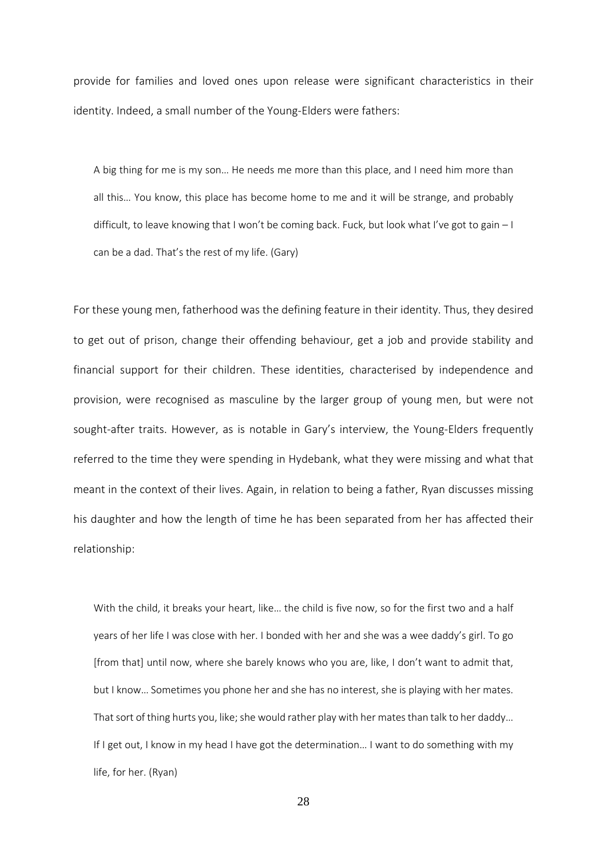provide for families and loved ones upon release were significant characteristics in their identity. Indeed, a small number of the Young-Elders were fathers:

A big thing for me is my son… He needs me more than this place, and I need him more than all this… You know, this place has become home to me and it will be strange, and probably difficult, to leave knowing that I won't be coming back. Fuck, but look what I've got to gain – I can be a dad. That's the rest of my life. (Gary)

For these young men, fatherhood was the defining feature in their identity. Thus, they desired to get out of prison, change their offending behaviour, get a job and provide stability and financial support for their children. These identities, characterised by independence and provision, were recognised as masculine by the larger group of young men, but were not sought-after traits. However, as is notable in Gary's interview, the Young-Elders frequently referred to the time they were spending in Hydebank, what they were missing and what that meant in the context of their lives. Again, in relation to being a father, Ryan discusses missing his daughter and how the length of time he has been separated from her has affected their relationship:

With the child, it breaks your heart, like… the child is five now, so for the first two and a half years of her life I was close with her. I bonded with her and she was a wee daddy's girl. To go [from that] until now, where she barely knows who you are, like, I don't want to admit that, but I know… Sometimes you phone her and she has no interest, she is playing with her mates. That sort of thing hurts you, like; she would rather play with her mates than talk to her daddy... If I get out, I know in my head I have got the determination… I want to do something with my life, for her. (Ryan)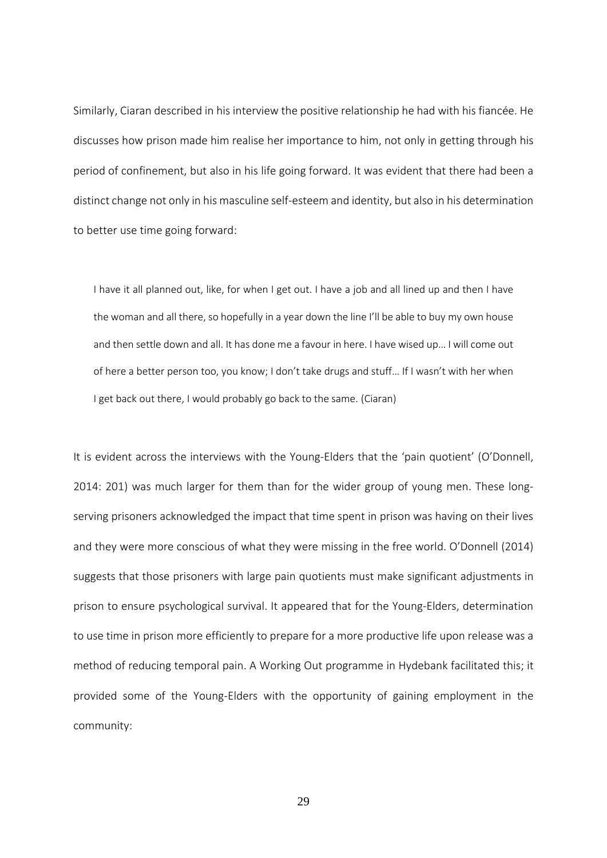Similarly, Ciaran described in his interview the positive relationship he had with his fiancée. He discusses how prison made him realise her importance to him, not only in getting through his period of confinement, but also in his life going forward. It was evident that there had been a distinct change not only in his masculine self-esteem and identity, but also in his determination to better use time going forward:

I have it all planned out, like, for when I get out. I have a job and all lined up and then I have the woman and all there, so hopefully in a year down the line I'll be able to buy my own house and then settle down and all. It has done me a favour in here. I have wised up… I will come out of here a better person too, you know; I don't take drugs and stuff… If I wasn't with her when I get back out there, I would probably go back to the same. (Ciaran)

It is evident across the interviews with the Young-Elders that the 'pain quotient' (O'Donnell, 2014: 201) was much larger for them than for the wider group of young men. These longserving prisoners acknowledged the impact that time spent in prison was having on their lives and they were more conscious of what they were missing in the free world. O'Donnell (2014) suggests that those prisoners with large pain quotients must make significant adjustments in prison to ensure psychological survival. It appeared that for the Young-Elders, determination to use time in prison more efficiently to prepare for a more productive life upon release was a method of reducing temporal pain. A Working Out programme in Hydebank facilitated this; it provided some of the Young-Elders with the opportunity of gaining employment in the community: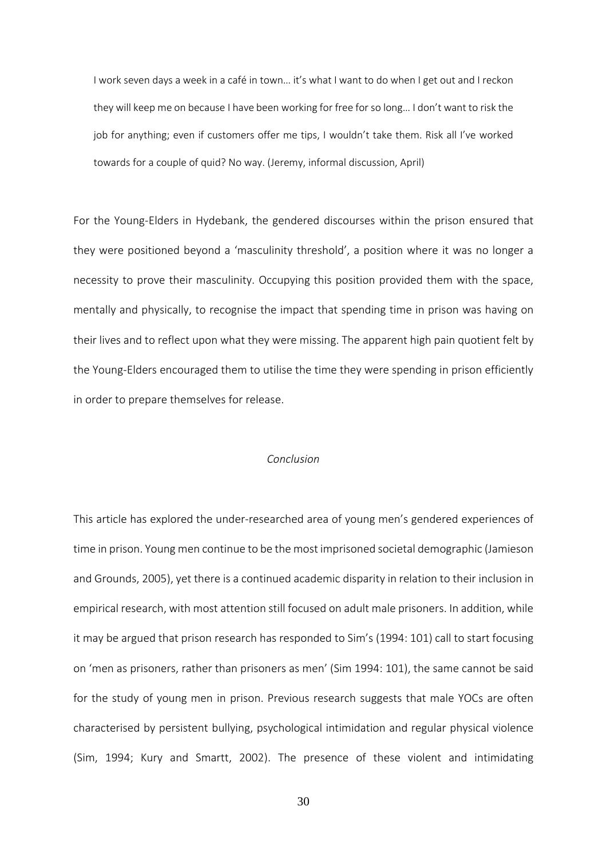I work seven days a week in a café in town… it's what I want to do when I get out and I reckon they will keep me on because I have been working for free for so long… I don't want to risk the job for anything; even if customers offer me tips, I wouldn't take them. Risk all I've worked towards for a couple of quid? No way. (Jeremy, informal discussion, April)

For the Young-Elders in Hydebank, the gendered discourses within the prison ensured that they were positioned beyond a 'masculinity threshold', a position where it was no longer a necessity to prove their masculinity. Occupying this position provided them with the space, mentally and physically, to recognise the impact that spending time in prison was having on their lives and to reflect upon what they were missing. The apparent high pain quotient felt by the Young-Elders encouraged them to utilise the time they were spending in prison efficiently in order to prepare themselves for release.

### *Conclusion*

This article has explored the under-researched area of young men's gendered experiences of time in prison. Young men continue to be the most imprisoned societal demographic (Jamieson and Grounds, 2005), yet there is a continued academic disparity in relation to their inclusion in empirical research, with most attention still focused on adult male prisoners. In addition, while it may be argued that prison research has responded to Sim's (1994: 101) call to start focusing on 'men as prisoners, rather than prisoners as men' (Sim 1994: 101), the same cannot be said for the study of young men in prison. Previous research suggests that male YOCs are often characterised by persistent bullying, psychological intimidation and regular physical violence (Sim, 1994; Kury and Smartt, 2002). The presence of these violent and intimidating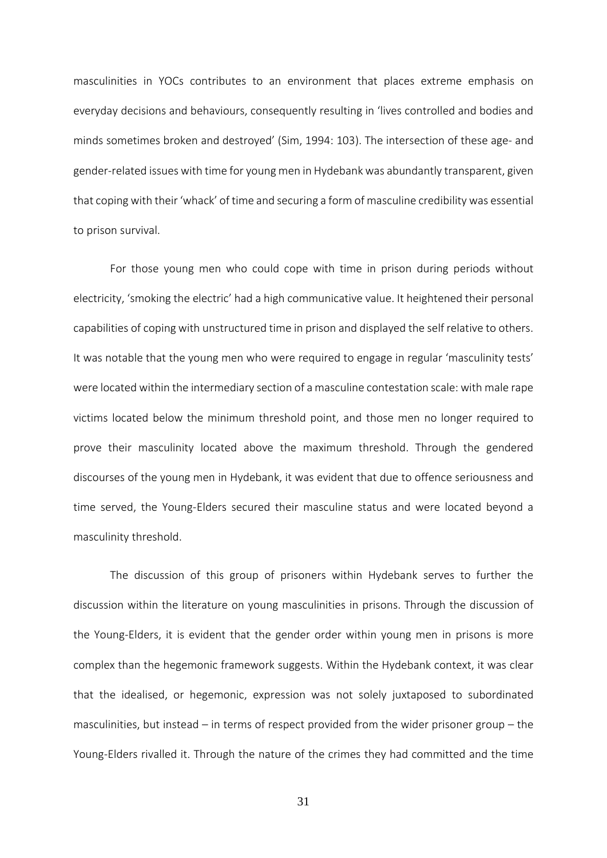masculinities in YOCs contributes to an environment that places extreme emphasis on everyday decisions and behaviours, consequently resulting in 'lives controlled and bodies and minds sometimes broken and destroyed' (Sim, 1994: 103). The intersection of these age- and gender-related issues with time for young men in Hydebank was abundantly transparent, given that coping with their 'whack' of time and securing a form of masculine credibility was essential to prison survival.

For those young men who could cope with time in prison during periods without electricity, 'smoking the electric' had a high communicative value. It heightened their personal capabilities of coping with unstructured time in prison and displayed the self relative to others. It was notable that the young men who were required to engage in regular 'masculinity tests' were located within the intermediary section of a masculine contestation scale: with male rape victims located below the minimum threshold point, and those men no longer required to prove their masculinity located above the maximum threshold. Through the gendered discourses of the young men in Hydebank, it was evident that due to offence seriousness and time served, the Young-Elders secured their masculine status and were located beyond a masculinity threshold.

The discussion of this group of prisoners within Hydebank serves to further the discussion within the literature on young masculinities in prisons. Through the discussion of the Young-Elders, it is evident that the gender order within young men in prisons is more complex than the hegemonic framework suggests. Within the Hydebank context, it was clear that the idealised, or hegemonic, expression was not solely juxtaposed to subordinated masculinities, but instead – in terms of respect provided from the wider prisoner group – the Young-Elders rivalled it. Through the nature of the crimes they had committed and the time

31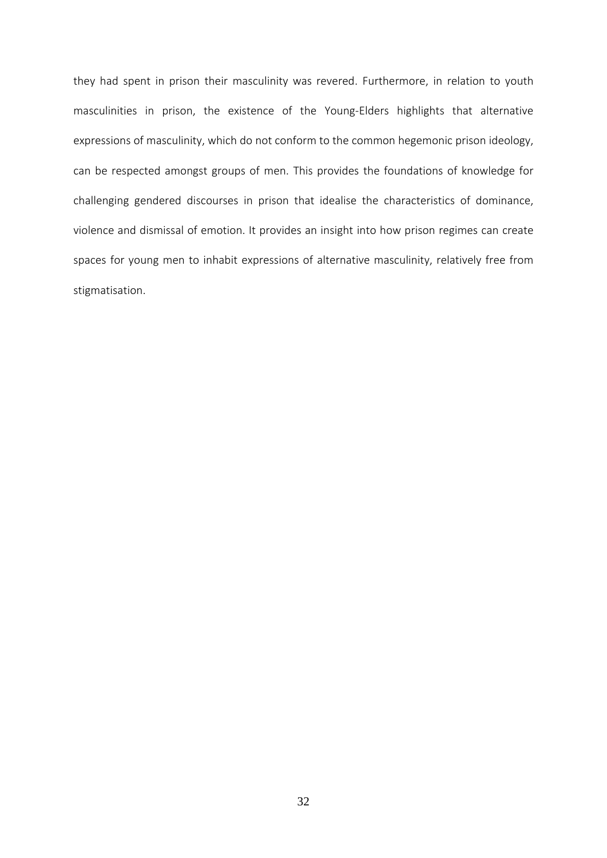they had spent in prison their masculinity was revered. Furthermore, in relation to youth masculinities in prison, the existence of the Young-Elders highlights that alternative expressions of masculinity, which do not conform to the common hegemonic prison ideology, can be respected amongst groups of men. This provides the foundations of knowledge for challenging gendered discourses in prison that idealise the characteristics of dominance, violence and dismissal of emotion. It provides an insight into how prison regimes can create spaces for young men to inhabit expressions of alternative masculinity, relatively free from stigmatisation.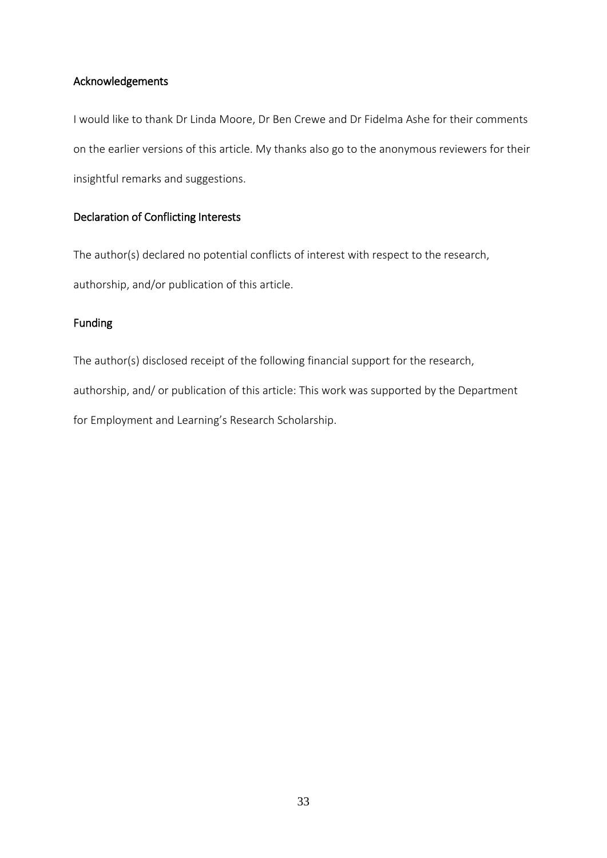# Acknowledgements

I would like to thank Dr Linda Moore, Dr Ben Crewe and Dr Fidelma Ashe for their comments on the earlier versions of this article. My thanks also go to the anonymous reviewers for their insightful remarks and suggestions.

# Declaration of Conflicting Interests

The author(s) declared no potential conflicts of interest with respect to the research, authorship, and/or publication of this article.

# Funding

The author(s) disclosed receipt of the following financial support for the research, authorship, and/ or publication of this article: This work was supported by the Department for Employment and Learning's Research Scholarship.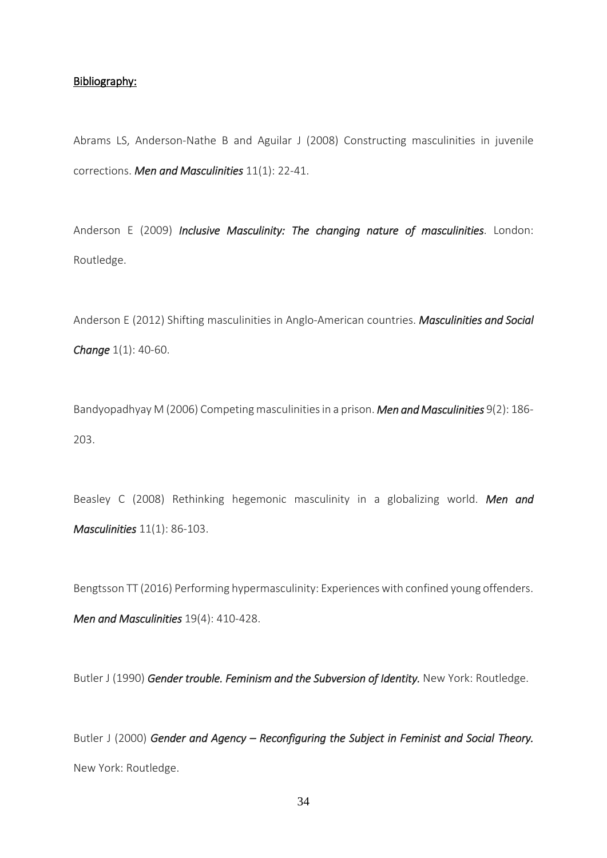## Bibliography:

Abrams LS, Anderson-Nathe B and Aguilar J (2008) Constructing masculinities in juvenile corrections. *Men and Masculinities* 11(1): 22-41.

Anderson E (2009) *Inclusive Masculinity: The changing nature of masculinities*. London: Routledge.

Anderson E (2012) Shifting masculinities in Anglo-American countries. *Masculinities and Social Change* 1(1): 40-60.

Bandyopadhyay M (2006) Competing masculinitiesin a prison. *Men and Masculinities* 9(2): 186- 203.

Beasley C (2008) Rethinking hegemonic masculinity in a globalizing world. *Men and Masculinities* 11(1): 86-103.

Bengtsson TT (2016) Performing hypermasculinity: Experiences with confined young offenders. *Men and Masculinities* 19(4): 410-428.

Butler J (1990) *Gender trouble. Feminism and the Subversion of Identity.* New York: Routledge.

Butler J (2000) *Gender and Agency – Reconfiguring the Subject in Feminist and Social Theory.* New York: Routledge.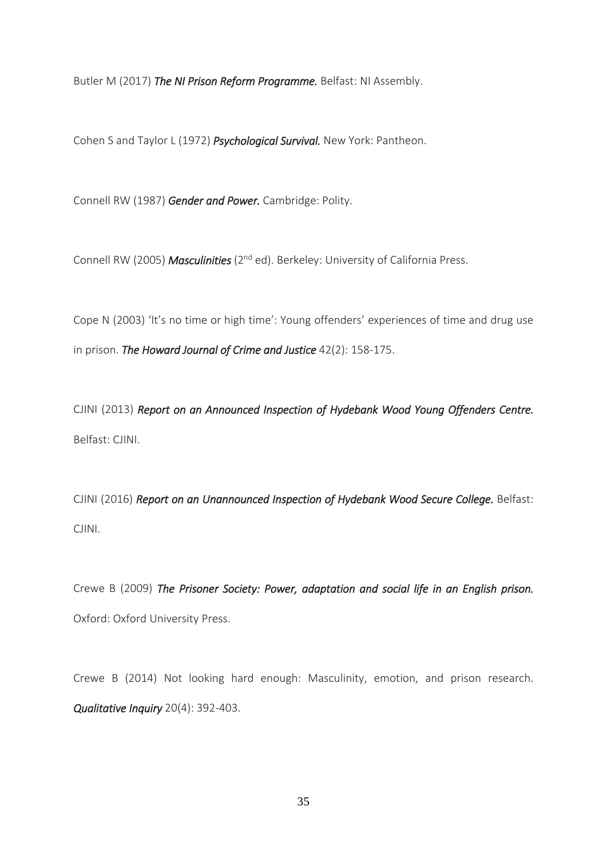Butler M (2017) *The NI Prison Reform Programme.* Belfast: NI Assembly.

Cohen S and Taylor L (1972) *Psychological Survival.* New York: Pantheon.

Connell RW (1987) *Gender and Power.* Cambridge: Polity.

Connell RW (2005) *Masculinities* (2nd ed). Berkeley: University of California Press.

Cope N (2003) 'It's no time or high time': Young offenders' experiences of time and drug use in prison. *The Howard Journal of Crime and Justice* 42(2): 158-175.

CJINI (2013) *Report on an Announced Inspection of Hydebank Wood Young Offenders Centre.* Belfast: CJINI.

CJINI (2016) *Report on an Unannounced Inspection of Hydebank Wood Secure College.* Belfast: CJINI.

Crewe B (2009) *The Prisoner Society: Power, adaptation and social life in an English prison.* Oxford: Oxford University Press.

Crewe B (2014) Not looking hard enough: Masculinity, emotion, and prison research. *Qualitative Inquiry* 20(4): 392-403.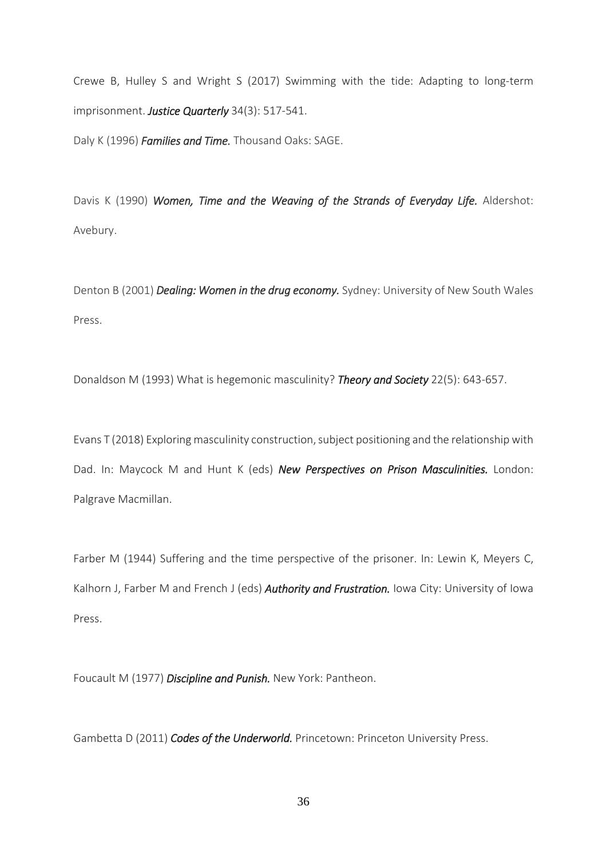Crewe B, Hulley S and Wright S (2017) Swimming with the tide: Adapting to long-term imprisonment. *Justice Quarterly* 34(3): 517-541.

Daly K (1996) *Families and Time.* Thousand Oaks: SAGE.

Davis K (1990) *Women, Time and the Weaving of the Strands of Everyday Life.* Aldershot: Avebury.

Denton B (2001) *Dealing: Women in the drug economy.* Sydney: University of New South Wales Press.

Donaldson M (1993) What is hegemonic masculinity? *Theory and Society* 22(5): 643-657.

Evans T (2018) Exploring masculinity construction, subject positioning and the relationship with Dad. In: Maycock M and Hunt K (eds) *New Perspectives on Prison Masculinities.* London: Palgrave Macmillan.

Farber M (1944) Suffering and the time perspective of the prisoner. In: Lewin K, Meyers C, Kalhorn J, Farber M and French J (eds) *Authority and Frustration.* Iowa City: University of Iowa Press.

Foucault M (1977) *Discipline and Punish.* New York: Pantheon.

Gambetta D (2011) *Codes of the Underworld.* Princetown: Princeton University Press.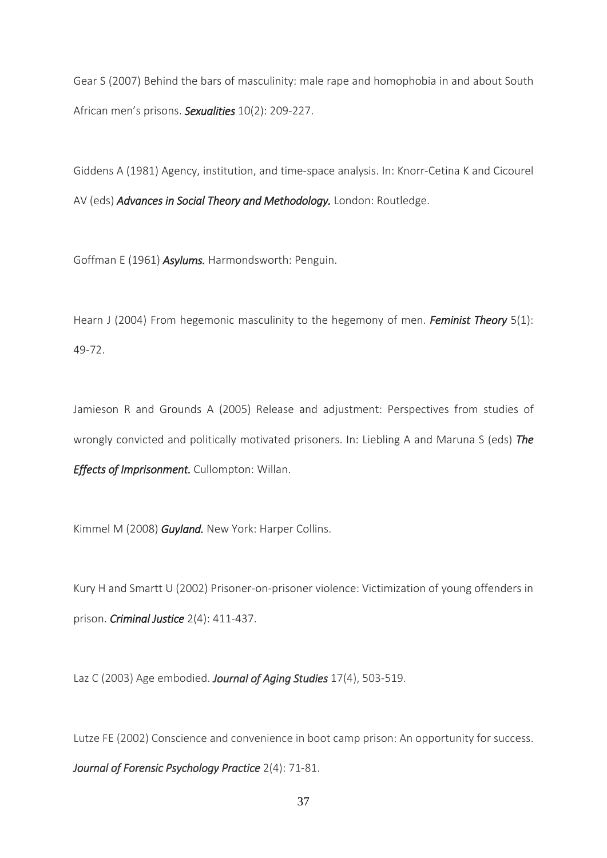Gear S (2007) Behind the bars of masculinity: male rape and homophobia in and about South African men's prisons. *Sexualities* 10(2): 209-227.

Giddens A (1981) Agency, institution, and time-space analysis. In: Knorr-Cetina K and Cicourel AV (eds) *Advances in Social Theory and Methodology.* London: Routledge.

Goffman E (1961) *Asylums.* Harmondsworth: Penguin.

Hearn J (2004) From hegemonic masculinity to the hegemony of men. *Feminist Theory* 5(1): 49-72.

Jamieson R and Grounds A (2005) Release and adjustment: Perspectives from studies of wrongly convicted and politically motivated prisoners. In: Liebling A and Maruna S (eds) *The Effects of Imprisonment.* Cullompton: Willan.

Kimmel M (2008) *Guyland.* New York: Harper Collins.

Kury H and Smartt U (2002) Prisoner-on-prisoner violence: Victimization of young offenders in prison. *Criminal Justice* 2(4): 411-437.

Laz C (2003) Age embodied. *Journal of Aging Studies* 17(4), 503-519.

Lutze FE (2002) Conscience and convenience in boot camp prison: An opportunity for success.

*Journal of Forensic Psychology Practice* 2(4): 71-81.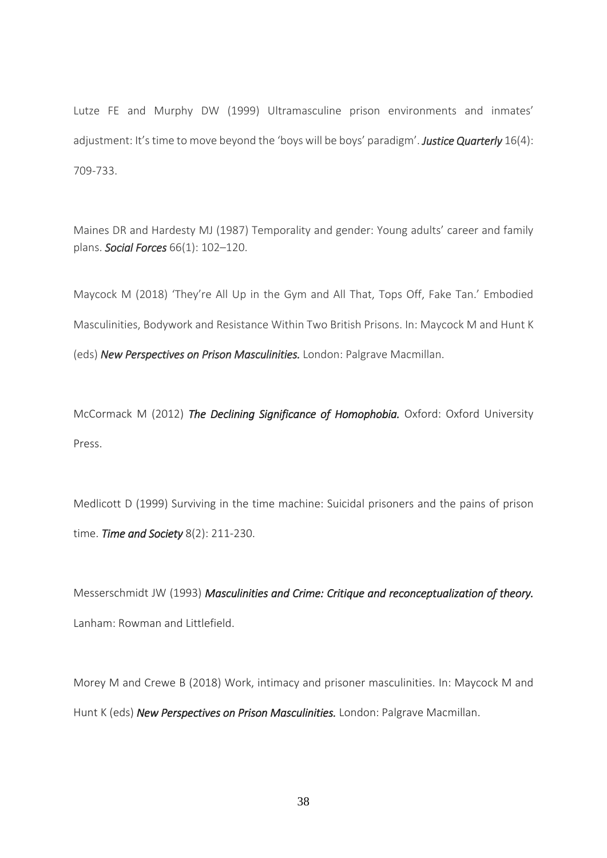Lutze FE and Murphy DW (1999) Ultramasculine prison environments and inmates' adjustment: It's time to move beyond the 'boys will be boys' paradigm'. **Justice Quarterly** 16(4): 709-733.

Maines DR and Hardesty MJ (1987) Temporality and gender: Young adults' career and family plans. *Social Forces* 66(1): 102–120.

Maycock M (2018) 'They're All Up in the Gym and All That, Tops Off, Fake Tan.' Embodied Masculinities, Bodywork and Resistance Within Two British Prisons. In: Maycock M and Hunt K (eds) *New Perspectives on Prison Masculinities.* London: Palgrave Macmillan.

McCormack M (2012) *The Declining Significance of Homophobia.* Oxford: Oxford University Press.

Medlicott D (1999) Surviving in the time machine: Suicidal prisoners and the pains of prison time. *Time and Society* 8(2): 211-230.

Messerschmidt JW (1993) *Masculinities and Crime: Critique and reconceptualization of theory.* Lanham: Rowman and Littlefield.

Morey M and Crewe B (2018) Work, intimacy and prisoner masculinities. In: Maycock M and Hunt K (eds) *New Perspectives on Prison Masculinities.* London: Palgrave Macmillan.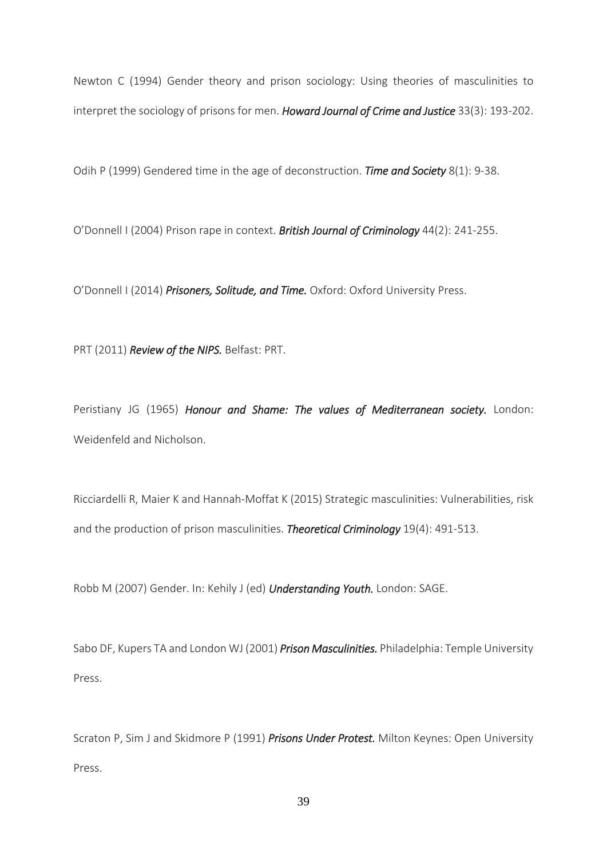Newton C (1994) Gender theory and prison sociology: Using theories of masculinities to interpret the sociology of prisons for men. *Howard Journal of Crime and Justice* 33(3): 193-202.

Odih P (1999) Gendered time in the age of deconstruction. *Time and Society* 8(1): 9-38.

O'Donnell I (2004) Prison rape in context. *British Journal of Criminology* 44(2): 241-255.

O'Donnell I (2014) *Prisoners, Solitude, and Time.* Oxford: Oxford University Press.

PRT (2011) *Review of the NIPS*. Belfast: PRT.

Peristiany JG (1965) *Honour and Shame: The values of Mediterranean society.* London: Weidenfeld and Nicholson.

Ricciardelli R, Maier K and Hannah-Moffat K (2015) Strategic masculinities: Vulnerabilities, risk and the production of prison masculinities. *Theoretical Criminology* 19(4): 491-513.

Robb M (2007) Gender. In: Kehily J (ed) *Understanding Youth.* London: SAGE.

Sabo DF, Kupers TA and London WJ (2001) *Prison Masculinities.* Philadelphia: Temple University Press.

Scraton P, Sim J and Skidmore P (1991) *Prisons Under Protest.* Milton Keynes: Open University Press.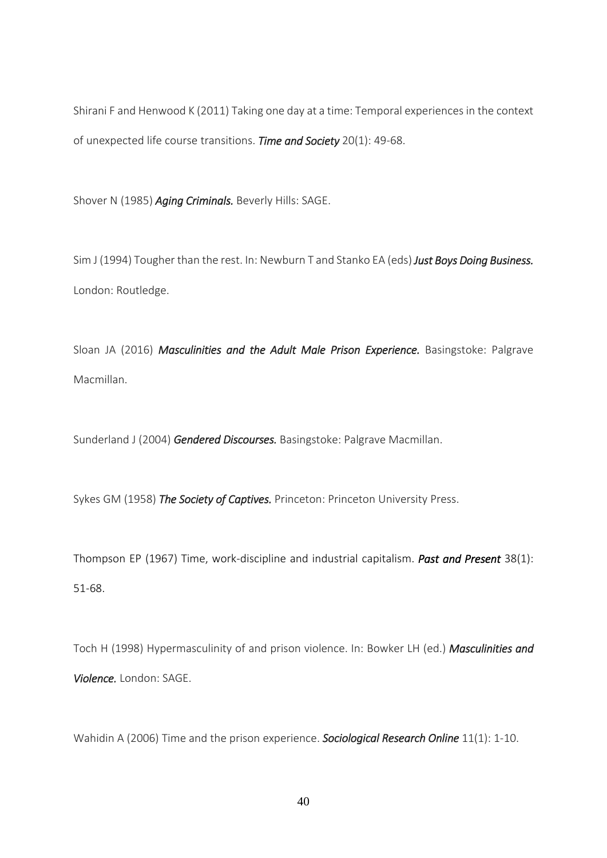Shirani F and Henwood K (2011) Taking one day at a time: Temporal experiences in the context of unexpected life course transitions. *Time and Society* 20(1): 49-68.

Shover N (1985) *Aging Criminals.* Beverly Hills: SAGE.

Sim J (1994) Tougher than the rest. In: Newburn T and Stanko EA (eds) *Just Boys Doing Business.* London: Routledge.

Sloan JA (2016) *Masculinities and the Adult Male Prison Experience.* Basingstoke: Palgrave Macmillan.

Sunderland J (2004) *Gendered Discourses.* Basingstoke: Palgrave Macmillan.

Sykes GM (1958) *The Society of Captives.* Princeton: Princeton University Press.

Thompson EP (1967) Time, work-discipline and industrial capitalism. *Past and Present* 38(1): 51-68.

Toch H (1998) Hypermasculinity of and prison violence. In: Bowker LH (ed.) *Masculinities and Violence.* London: SAGE.

Wahidin A (2006) Time and the prison experience. *Sociological Research Online* 11(1): 1-10.